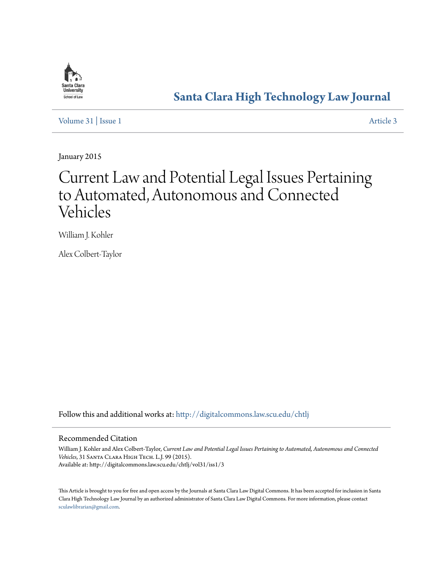

## **[Santa Clara High Technology Law Journal](http://digitalcommons.law.scu.edu/chtlj?utm_source=digitalcommons.law.scu.edu%2Fchtlj%2Fvol31%2Fiss1%2F3&utm_medium=PDF&utm_campaign=PDFCoverPages)**

[Volume 31](http://digitalcommons.law.scu.edu/chtlj/vol31?utm_source=digitalcommons.law.scu.edu%2Fchtlj%2Fvol31%2Fiss1%2F3&utm_medium=PDF&utm_campaign=PDFCoverPages) | [Issue 1](http://digitalcommons.law.scu.edu/chtlj/vol31/iss1?utm_source=digitalcommons.law.scu.edu%2Fchtlj%2Fvol31%2Fiss1%2F3&utm_medium=PDF&utm_campaign=PDFCoverPages) [Article 3](http://digitalcommons.law.scu.edu/chtlj/vol31/iss1/3?utm_source=digitalcommons.law.scu.edu%2Fchtlj%2Fvol31%2Fiss1%2F3&utm_medium=PDF&utm_campaign=PDFCoverPages)

January 2015

# Current Law and Potential Legal Issues Pertaining to Automated, Autonomous and Connected Vehicles

William J. Kohler

Alex Colbert-Taylor

Follow this and additional works at: [http://digitalcommons.law.scu.edu/chtlj](http://digitalcommons.law.scu.edu/chtlj?utm_source=digitalcommons.law.scu.edu%2Fchtlj%2Fvol31%2Fiss1%2F3&utm_medium=PDF&utm_campaign=PDFCoverPages)

#### Recommended Citation

William J. Kohler and Alex Colbert-Taylor, *Current Law and Potential Legal Issues Pertaining to Automated, Autonomous and Connected Vehicles*, 31 Santa Clara High Tech. L.J. 99 (2015). Available at: http://digitalcommons.law.scu.edu/chtlj/vol31/iss1/3

This Article is brought to you for free and open access by the Journals at Santa Clara Law Digital Commons. It has been accepted for inclusion in Santa Clara High Technology Law Journal by an authorized administrator of Santa Clara Law Digital Commons. For more information, please contact [sculawlibrarian@gmail.com](mailto:sculawlibrarian@gmail.com).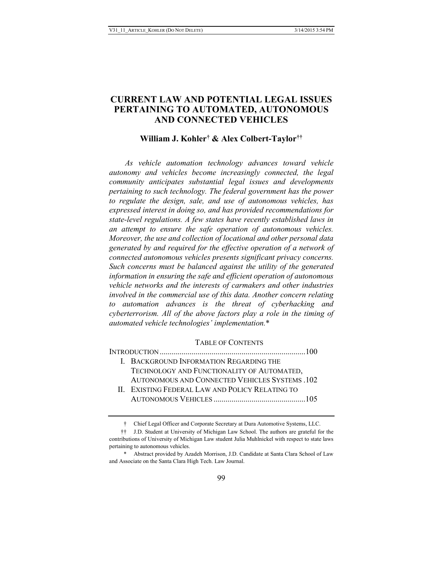### **CURRENT LAW AND POTENTIAL LEGAL ISSUES PERTAINING TO AUTOMATED, AUTONOMOUS AND CONNECTED VEHICLES**

#### **William J. Kohler† & Alex Colbert-Taylor††**

*As vehicle automation technology advances toward vehicle autonomy and vehicles become increasingly connected, the legal community anticipates substantial legal issues and developments pertaining to such technology. The federal government has the power to regulate the design, sale, and use of autonomous vehicles, has expressed interest in doing so, and has provided recommendations for state-level regulations. A few states have recently established laws in an attempt to ensure the safe operation of autonomous vehicles. Moreover, the use and collection of locational and other personal data generated by and required for the effective operation of a network of connected autonomous vehicles presents significant privacy concerns. Such concerns must be balanced against the utility of the generated information in ensuring the safe and efficient operation of autonomous vehicle networks and the interests of carmakers and other industries involved in the commercial use of this data. Another concern relating to automation advances is the threat of cyberhacking and cyberterrorism. All of the above factors play a role in the timing of automated vehicle technologies' implementation.*\*

#### TABLE OF CONTENTS

INTRODUCTION .........................................................................100 I. BACKGROUND INFORMATION REGARDING THE TECHNOLOGY AND FUNCTIONALITY OF AUTOMATED, AUTONOMOUS AND CONNECTED VEHICLES SYSTEMS .102 II. EXISTING FEDERAL LAW AND POLICY RELATING TO AUTONOMOUS VEHICLES ..............................................105

<sup>†</sup> Chief Legal Officer and Corporate Secretary at Dura Automotive Systems, LLC.

<sup>††</sup> J.D. Student at University of Michigan Law School. The authors are grateful for the contributions of University of Michigan Law student Julia Muhlnickel with respect to state laws pertaining to autonomous vehicles.

<sup>\*</sup> Abstract provided by Azadeh Morrison, J.D. Candidate at Santa Clara School of Law and Associate on the Santa Clara High Tech. Law Journal.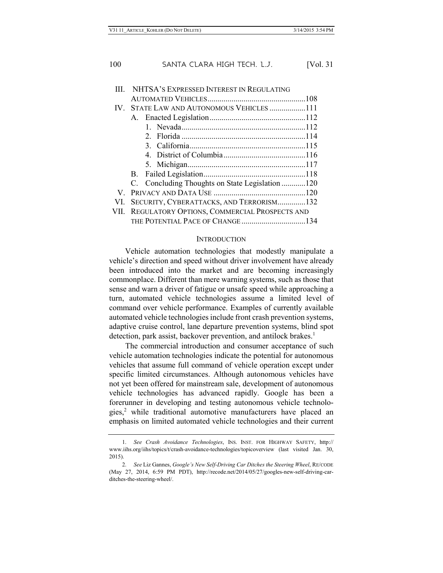|     | NHTSA'S EXPRESSED INTEREST IN REGULATING          |  |
|-----|---------------------------------------------------|--|
|     |                                                   |  |
|     | IV. STATE LAW AND AUTONOMOUS VEHICLES111          |  |
|     |                                                   |  |
|     |                                                   |  |
|     |                                                   |  |
|     |                                                   |  |
|     |                                                   |  |
|     |                                                   |  |
|     |                                                   |  |
|     | C. Concluding Thoughts on State Legislation 120   |  |
| V   |                                                   |  |
| VI. | SECURITY, CYBERATTACKS, AND TERRORISM132          |  |
|     | VII. REGULATORY OPTIONS, COMMERCIAL PROSPECTS AND |  |
|     | THE POTENTIAL PACE OF CHANGE134                   |  |
|     |                                                   |  |

#### **INTRODUCTION**

Vehicle automation technologies that modestly manipulate a vehicle's direction and speed without driver involvement have already been introduced into the market and are becoming increasingly commonplace. Different than mere warning systems, such as those that sense and warn a driver of fatigue or unsafe speed while approaching a turn, automated vehicle technologies assume a limited level of command over vehicle performance. Examples of currently available automated vehicle technologies include front crash prevention systems, adaptive cruise control, lane departure prevention systems, blind spot detection, park assist, backover prevention, and antilock brakes.<sup>1</sup>

The commercial introduction and consumer acceptance of such vehicle automation technologies indicate the potential for autonomous vehicles that assume full command of vehicle operation except under specific limited circumstances. Although autonomous vehicles have not yet been offered for mainstream sale, development of autonomous vehicle technologies has advanced rapidly. Google has been a forerunner in developing and testing autonomous vehicle technologies,2 while traditional automotive manufacturers have placed an emphasis on limited automated vehicle technologies and their current

<sup>1.</sup> *See Crash Avoidance Technologies*, INS. INST. FOR HIGHWAY SAFETY, http:// www.iihs.org/iihs/topics/t/crash-avoidance-technologies/topicoverview (last visited Jan. 30, 2015).

<sup>2.</sup> *See* Liz Gannes, *Google's New Self-Driving Car Ditches the Steering Wheel*, RE/CODE (May 27, 2014, 6:59 PM PDT), http://recode.net/2014/05/27/googles-new-self-driving-carditches-the-steering-wheel/.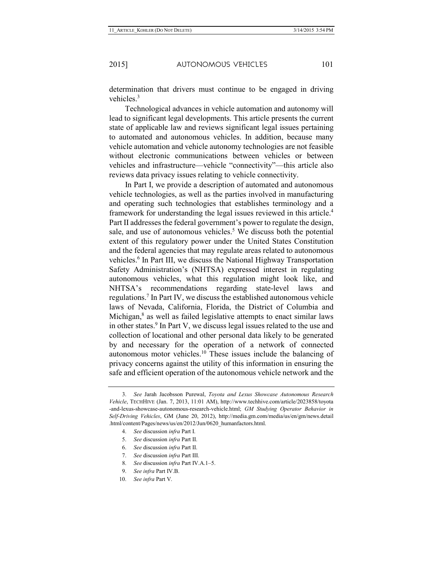determination that drivers must continue to be engaged in driving vehicles.3

Technological advances in vehicle automation and autonomy will lead to significant legal developments. This article presents the current state of applicable law and reviews significant legal issues pertaining to automated and autonomous vehicles. In addition, because many vehicle automation and vehicle autonomy technologies are not feasible without electronic communications between vehicles or between vehicles and infrastructure—vehicle "connectivity"—this article also reviews data privacy issues relating to vehicle connectivity.

In Part I, we provide a description of automated and autonomous vehicle technologies, as well as the parties involved in manufacturing and operating such technologies that establishes terminology and a framework for understanding the legal issues reviewed in this article.4 Part II addresses the federal government's power to regulate the design, sale, and use of autonomous vehicles.<sup>5</sup> We discuss both the potential extent of this regulatory power under the United States Constitution and the federal agencies that may regulate areas related to autonomous vehicles.<sup>6</sup> In Part III, we discuss the National Highway Transportation Safety Administration's (NHTSA) expressed interest in regulating autonomous vehicles, what this regulation might look like, and NHTSA's recommendations regarding state-level laws and regulations.7 In Part IV, we discuss the established autonomous vehicle laws of Nevada, California, Florida, the District of Columbia and Michigan, $8$  as well as failed legislative attempts to enact similar laws in other states. $9 \text{ In Part V}$ , we discuss legal issues related to the use and collection of locational and other personal data likely to be generated by and necessary for the operation of a network of connected autonomous motor vehicles.10 These issues include the balancing of privacy concerns against the utility of this information in ensuring the safe and efficient operation of the autonomous vehicle network and the

<sup>3.</sup> *See* Jarah Jacobsson Purewal, *Toyota and Lexus Showcase Autonomous Research Vehicle*, TECHHIVE (Jan. 7, 2013, 11:01 AM), http://www.techhive.com/article/2023858/toyota -and-lexus-showcase-autonomous-research-vehicle.html; *GM Studying Operator Behavior in Self-Driving Vehicles*, GM (June 20, 2012), http://media.gm.com/media/us/en/gm/news.detail .html/content/Pages/news/us/en/2012/Jun/0620\_humanfactors.html.

<sup>4.</sup> *See* discussion *infra* Part I.

<sup>5.</sup> *See* discussion *infra* Part II.

<sup>6.</sup> *See* discussion *infra* Part II.

<sup>7.</sup> *See* discussion *infra* Part III.

<sup>8.</sup> *See* discussion *infra* Part IV.A.1–5.

<sup>9.</sup> *See infra* Part IV.B.

<sup>10.</sup> *See infra* Part V.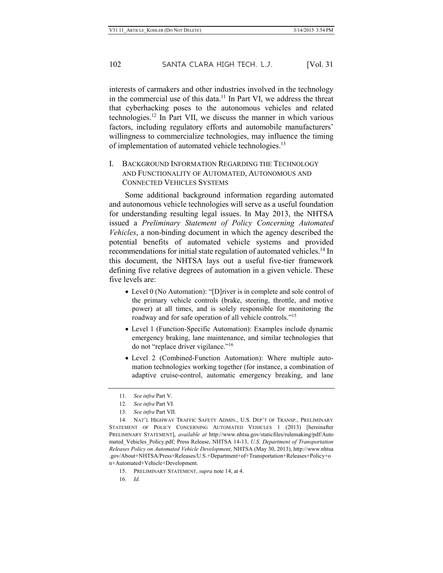interests of carmakers and other industries involved in the technology in the commercial use of this data.11 In Part VI, we address the threat that cyberhacking poses to the autonomous vehicles and related technologies.12 In Part VII, we discuss the manner in which various factors, including regulatory efforts and automobile manufacturers' willingness to commercialize technologies, may influence the timing of implementation of automated vehicle technologies.<sup>13</sup>

#### I. BACKGROUND INFORMATION REGARDING THE TECHNOLOGY AND FUNCTIONALITY OF AUTOMATED, AUTONOMOUS AND CONNECTED VEHICLES SYSTEMS

Some additional background information regarding automated and autonomous vehicle technologies will serve as a useful foundation for understanding resulting legal issues. In May 2013, the NHTSA issued a *Preliminary Statement of Policy Concerning Automated Vehicles*, a non-binding document in which the agency described the potential benefits of automated vehicle systems and provided recommendations for initial state regulation of automated vehicles.<sup>14</sup> In this document, the NHTSA lays out a useful five-tier framework defining five relative degrees of automation in a given vehicle. These five levels are:

- Level 0 (No Automation): "[D]river is in complete and sole control of the primary vehicle controls (brake, steering, throttle, and motive power) at all times, and is solely responsible for monitoring the roadway and for safe operation of all vehicle controls."15
- Level 1 (Function-Specific Automation): Examples include dynamic emergency braking, lane maintenance, and similar technologies that do not "replace driver vigilance."16
- Level 2 (Combined-Function Automation): Where multiple automation technologies working together (for instance, a combination of adaptive cruise-control, automatic emergency breaking, and lane

<sup>11.</sup> *See infra* Part V.

<sup>12.</sup> *See infra* Part VI.

<sup>13.</sup> *See infra* Part VII.

<sup>14.</sup> NAT'L HIGHWAY TRAFFIC SAFETY ADMIN., U.S. DEP'T OF TRANSP., PRELIMINARY STATEMENT OF POLICY CONCERNING AUTOMATED VEHICLES 1 (2013) [hereinafter PRELIMINARY STATEMENT], *available at* http://www.nhtsa.gov/staticfiles/rulemaking/pdf/Auto mated\_Vehicles\_Policy.pdf; Press Release, NHTSA 14-13, *U.S. Department of Transportation Releases Policy on Automated Vehicle Development*, NHTSA (May 30, 2013), http://www.nhtsa .gov/About+NHTSA/Press+Releases/U.S.+Department+of+Transportation+Releases+Policy+o n+Automated+Vehicle+Development.

<sup>15.</sup> PRELIMINARY STATEMENT, *supra* note 14, at 4.

<sup>16.</sup> *Id.*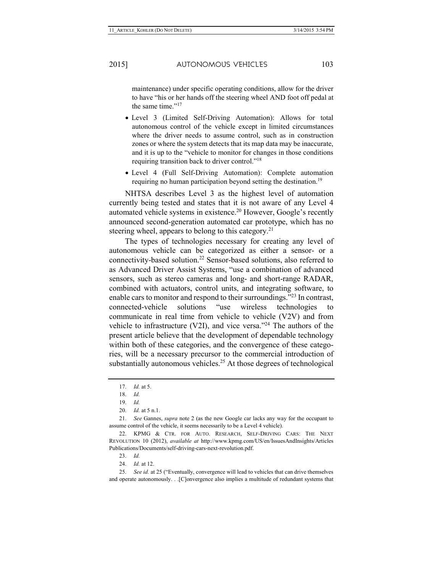maintenance) under specific operating conditions, allow for the driver to have "his or her hands off the steering wheel AND foot off pedal at the same time."<sup>17</sup>

- Level 3 (Limited Self-Driving Automation): Allows for total autonomous control of the vehicle except in limited circumstances where the driver needs to assume control, such as in construction zones or where the system detects that its map data may be inaccurate, and it is up to the "vehicle to monitor for changes in those conditions requiring transition back to driver control."18
- Level 4 (Full Self-Driving Automation): Complete automation requiring no human participation beyond setting the destination.<sup>19</sup>

NHTSA describes Level 3 as the highest level of automation currently being tested and states that it is not aware of any Level 4 automated vehicle systems in existence.<sup>20</sup> However, Google's recently announced second-generation automated car prototype, which has no steering wheel, appears to belong to this category.<sup>21</sup>

The types of technologies necessary for creating any level of autonomous vehicle can be categorized as either a sensor- or a connectivity-based solution.22 Sensor-based solutions, also referred to as Advanced Driver Assist Systems, "use a combination of advanced sensors, such as stereo cameras and long- and short-range RADAR, combined with actuators, control units, and integrating software, to enable cars to monitor and respond to their surroundings."<sup>23</sup> In contrast, connected-vehicle solutions "use wireless technologies to communicate in real time from vehicle to vehicle (V2V) and from vehicle to infrastructure (V2I), and vice versa."24 The authors of the present article believe that the development of dependable technology within both of these categories, and the convergence of these categories, will be a necessary precursor to the commercial introduction of substantially autonomous vehicles.<sup>25</sup> At those degrees of technological

23. *Id.*

24. *Id.* at 12.

25. *See id.* at 25 ("Eventually, convergence will lead to vehicles that can drive themselves and operate autonomously. . .[C]onvergence also implies a multitude of redundant systems that

<sup>17.</sup> *Id.* at 5.

<sup>18.</sup> *Id.*

<sup>19.</sup> *Id.*

<sup>20.</sup> *Id.* at 5 n.1.

<sup>21.</sup> *See* Gannes, *supra* note 2 (as the new Google car lacks any way for the occupant to assume control of the vehicle, it seems necessarily to be a Level 4 vehicle).

<sup>22.</sup> KPMG & CTR. FOR AUTO. RESEARCH, SELF-DRIVING CARS: THE NEXT REVOLUTION 10 (2012), *available at* http://www.kpmg.com/US/en/IssuesAndInsights/Articles Publications/Documents/self-driving-cars-next-revolution.pdf.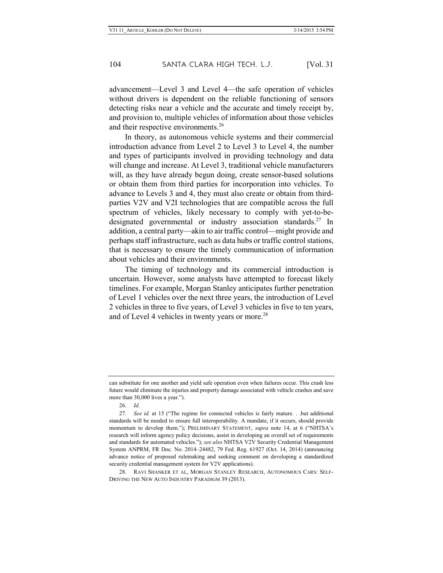advancement—Level 3 and Level 4—the safe operation of vehicles without drivers is dependent on the reliable functioning of sensors detecting risks near a vehicle and the accurate and timely receipt by, and provision to, multiple vehicles of information about those vehicles and their respective environments.<sup>26</sup>

In theory, as autonomous vehicle systems and their commercial introduction advance from Level 2 to Level 3 to Level 4, the number and types of participants involved in providing technology and data will change and increase. At Level 3, traditional vehicle manufacturers will, as they have already begun doing, create sensor-based solutions or obtain them from third parties for incorporation into vehicles. To advance to Levels 3 and 4, they must also create or obtain from thirdparties V2V and V2I technologies that are compatible across the full spectrum of vehicles, likely necessary to comply with yet-to-bedesignated governmental or industry association standards.<sup>27</sup> In addition, a central party—akin to air traffic control—might provide and perhaps staff infrastructure, such as data hubs or traffic control stations, that is necessary to ensure the timely communication of information about vehicles and their environments.

The timing of technology and its commercial introduction is uncertain. However, some analysts have attempted to forecast likely timelines. For example, Morgan Stanley anticipates further penetration of Level 1 vehicles over the next three years, the introduction of Level 2 vehicles in three to five years, of Level 3 vehicles in five to ten years, and of Level 4 vehicles in twenty years or more.<sup>28</sup>

26. *Id.*

28. RAVI SHANKER ET AL, MORGAN STANLEY RESEARCH, AUTONOMOUS CARS: SELF-DRIVING THE NEW AUTO INDUSTRY PARADIGM 39 (2013).

can substitute for one another and yield safe operation even when failures occur. This crash less future would eliminate the injuries and property damage associated with vehicle crashes and save more than 30,000 lives a year.").

<sup>27.</sup> *See id.* at 15 ("The regime for connected vehicles is fairly mature. . .but additional standards will be needed to ensure full interoperability. A mandate, if it occurs, should provide momentum to develop them."); PRELIMINARY STATEMENT, *supra* note 14, at 6 ("NHTSA's research will inform agency policy decisions, assist in developing an overall set of requirements and standards for automated vehicles."); *see also* NHTSA V2V Security Credential Management System ANPRM, FR Doc. No. 2014–24482, 79 Fed. Reg. 61927 (Oct. 14, 2014) (announcing advance notice of proposed rulemaking and seeking comment on developing a standardized security credential management system for V2V applications).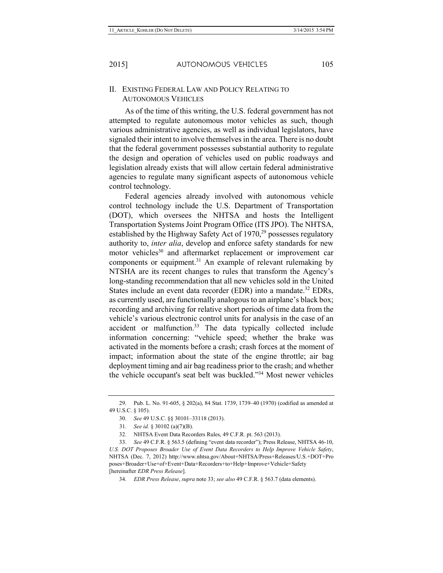#### II. EXISTING FEDERAL LAW AND POLICY RELATING TO AUTONOMOUS VEHICLES

As of the time of this writing, the U.S. federal government has not attempted to regulate autonomous motor vehicles as such, though various administrative agencies, as well as individual legislators, have signaled their intent to involve themselves in the area. There is no doubt that the federal government possesses substantial authority to regulate the design and operation of vehicles used on public roadways and legislation already exists that will allow certain federal administrative agencies to regulate many significant aspects of autonomous vehicle control technology.

Federal agencies already involved with autonomous vehicle control technology include the U.S. Department of Transportation (DOT), which oversees the NHTSA and hosts the Intelligent Transportation Systems Joint Program Office (ITS JPO). The NHTSA, established by the Highway Safety Act of  $1970<sup>29</sup>$  possesses regulatory authority to, *inter alia*, develop and enforce safety standards for new motor vehicles<sup>30</sup> and aftermarket replacement or improvement car components or equipment.<sup>31</sup> An example of relevant rulemaking by NTSHA are its recent changes to rules that transform the Agency's long-standing recommendation that all new vehicles sold in the United States include an event data recorder (EDR) into a mandate.<sup>32</sup> EDRs, as currently used, are functionally analogous to an airplane's black box; recording and archiving for relative short periods of time data from the vehicle's various electronic control units for analysis in the case of an accident or malfunction.<sup>33</sup> The data typically collected include information concerning: "vehicle speed; whether the brake was activated in the moments before a crash; crash forces at the moment of impact; information about the state of the engine throttle; air bag deployment timing and air bag readiness prior to the crash; and whether the vehicle occupant's seat belt was buckled."34 Most newer vehicles

<sup>29.</sup> Pub. L. No. 91-605, § 202(a), 84 Stat. 1739, 1739–40 (1970) (codified as amended at 49 U.S.C. § 105).

<sup>30.</sup> *See* 49 U.S.C. §§ 30101–33118 (2013).

<sup>31.</sup> *See id.* § 30102 (a)(7)(B).

<sup>32.</sup> NHTSA Event Data Recorders Rules, 49 C.F.R. pt. 563 (2013).

<sup>33.</sup> *See* 49 C.F.R. § 563.5 (defining "event data recorder"); Press Release, NHTSA 46-10, *U.S. DOT Proposes Broader Use of Event Data Recorders to Help Improve Vehicle Safety*, NHTSA (Dec. 7, 2012) http://www.nhtsa.gov/About+NHTSA/Press+Releases/U.S.+DOT+Pro poses+Broader+Use+of+Event+Data+Recorders+to+Help+Improve+Vehicle+Safety [hereinafter *EDR Press Release*].

<sup>34.</sup> *EDR Press Release*, *supra* note 33; *see also* 49 C.F.R. § 563.7 (data elements).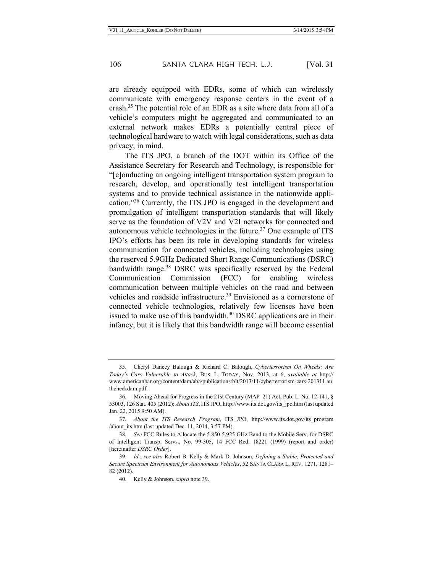are already equipped with EDRs, some of which can wirelessly communicate with emergency response centers in the event of a crash.35 The potential role of an EDR as a site where data from all of a vehicle's computers might be aggregated and communicated to an external network makes EDRs a potentially central piece of technological hardware to watch with legal considerations, such as data privacy, in mind.

The ITS JPO, a branch of the DOT within its Office of the Assistance Secretary for Research and Technology, is responsible for "[c]onducting an ongoing intelligent transportation system program to research, develop, and operationally test intelligent transportation systems and to provide technical assistance in the nationwide application."36 Currently, the ITS JPO is engaged in the development and promulgation of intelligent transportation standards that will likely serve as the foundation of V2V and V2I networks for connected and autonomous vehicle technologies in the future.<sup>37</sup> One example of ITS IPO's efforts has been its role in developing standards for wireless communication for connected vehicles, including technologies using the reserved 5.9GHz Dedicated Short Range Communications (DSRC) bandwidth range.<sup>38</sup> DSRC was specifically reserved by the Federal Communication Commission (FCC) for enabling wireless communication between multiple vehicles on the road and between vehicles and roadside infrastructure.<sup>39</sup> Envisioned as a cornerstone of connected vehicle technologies, relatively few licenses have been issued to make use of this bandwidth.<sup>40</sup> DSRC applications are in their infancy, but it is likely that this bandwidth range will become essential

<sup>35.</sup> Cheryl Dancey Balough & Richard C. Balough, *Cyberterrorism On Wheels: Are Today's Cars Vulnerable to Attack*, BUS. L. TODAY, Nov. 2013, at 6, *available at* http:// www.americanbar.org/content/dam/aba/publications/blt/2013/11/cyberterrorism-cars-201311.au thcheckdam.pdf.

<sup>36.</sup> Moving Ahead for Progress in the 21st Century (MAP–21) Act, Pub. L. No. 12-141, § 53003, 126 Stat. 405 (2012); *About ITS*, ITS JPO, http://www.its.dot.gov/its\_jpo.htm (last updated Jan. 22, 2015 9:50 AM).

<sup>37.</sup> *About the ITS Research Program*, ITS JPO, http://www.its.dot.gov/its\_program /about its.htm (last updated Dec. 11, 2014, 3:57 PM).

<sup>38.</sup> *See* FCC Rules to Allocate the 5.850-5.925 GHz Band to the Mobile Serv. for DSRC of Intelligent Transp. Servs., No. 99-305, 14 FCC Rcd. 18221 (1999) (report and order) [hereinafter *DSRC Order*].

<sup>39.</sup> *Id.*; *see also* Robert B. Kelly & Mark D. Johnson, *Defining a Stable, Protected and Secure Spectrum Environment for Autonomous Vehicles*, 52 SANTA CLARA L. REV. 1271, 1281– 82 (2012).

<sup>40.</sup> Kelly & Johnson, *supra* note 39.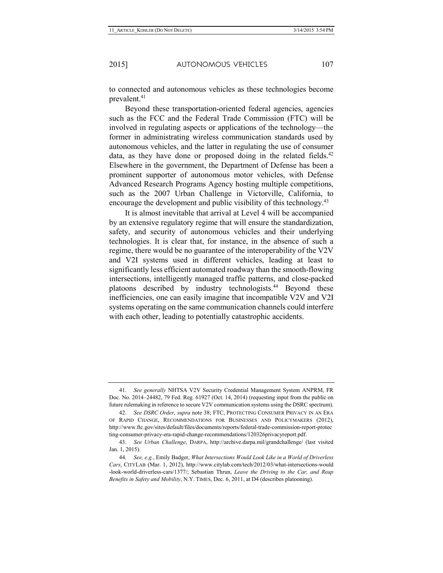to connected and autonomous vehicles as these technologies become prevalent.<sup>41</sup>

Beyond these transportation-oriented federal agencies, agencies such as the FCC and the Federal Trade Commission (FTC) will be involved in regulating aspects or applications of the technology—the former in administrating wireless communication standards used by autonomous vehicles, and the latter in regulating the use of consumer data, as they have done or proposed doing in the related fields.<sup>42</sup> Elsewhere in the government, the Department of Defense has been a prominent supporter of autonomous motor vehicles, with Defense Advanced Research Programs Agency hosting multiple competitions, such as the 2007 Urban Challenge in Victorville, California, to encourage the development and public visibility of this technology.<sup>43</sup>

It is almost inevitable that arrival at Level 4 will be accompanied by an extensive regulatory regime that will ensure the standardization, safety, and security of autonomous vehicles and their underlying technologies. It is clear that, for instance, in the absence of such a regime, there would be no guarantee of the interoperability of the V2V and V2I systems used in different vehicles, leading at least to significantly less efficient automated roadway than the smooth-flowing intersections, intelligently managed traffic patterns, and close-packed platoons described by industry technologists.<sup>44</sup> Beyond these inefficiencies, one can easily imagine that incompatible V2V and V2I systems operating on the same communication channels could interfere with each other, leading to potentially catastrophic accidents.

<sup>41.</sup> *See generally* NHTSA V2V Security Credential Management System ANPRM, FR Doc. No. 2014–24482, 79 Fed. Reg. 61927 (Oct. 14, 2014) (requesting input from the public on future rulemaking in reference to secure V2V communication systems using the DSRC spectrum).

<sup>42.</sup> *See DSRC Order*, *supra* note 38; FTC, PROTECTING CONSUMER PRIVACY IN AN ERA OF RAPID CHANGE, RECOMMENDATIONS FOR BUSINESSES AND POLICYMAKERS (2012), http://www.ftc.gov/sites/default/files/documents/reports/federal-trade-commission-report-protec ting-consumer-privacy-era-rapid-change-recommendations/120326privacyreport.pdf.

<sup>43.</sup> *See Urban Challenge*, DARPA, http://archive.darpa.mil/grandchallenge/ (last visited Jan. 1, 2015).

<sup>44.</sup> *See, e.g.*, Emily Badger, *What Intersections Would Look Like in a World of Driverless Cars*, CITYLAB (Mar. 1, 2012), http://www.citylab.com/tech/2012/03/what-intersections-would -look-world-driverless-cars/1377/; Sebastian Thrun, *Leave the Driving to the Car, and Reap Benefits in Safety and Mobility*, N.Y. TIMES, Dec. 6, 2011, at D4 (describes platooning).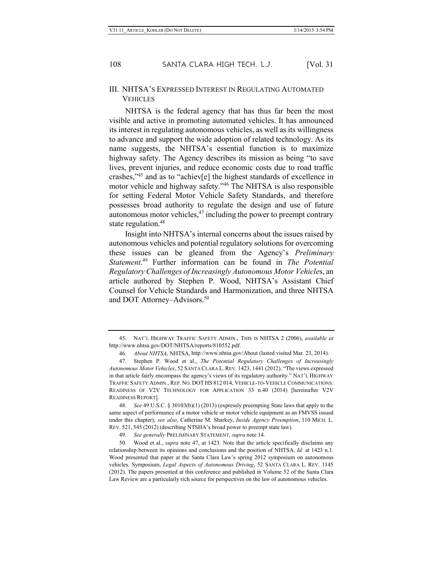#### III. NHTSA'S EXPRESSED INTEREST IN REGULATING AUTOMATED VEHICLES

NHTSA is the federal agency that has thus far been the most visible and active in promoting automated vehicles. It has announced its interest in regulating autonomous vehicles, as well as its willingness to advance and support the wide adoption of related technology. As its name suggests, the NHTSA's essential function is to maximize highway safety. The Agency describes its mission as being "to save lives, prevent injuries, and reduce economic costs due to road traffic crashes,"45 and as to "achiev[e] the highest standards of excellence in motor vehicle and highway safety."46 The NHTSA is also responsible for setting Federal Motor Vehicle Safety Standards, and therefore possesses broad authority to regulate the design and use of future autonomous motor vehicles, $47$  including the power to preempt contrary state regulation.<sup>48</sup>

Insight into NHTSA's internal concerns about the issues raised by autonomous vehicles and potential regulatory solutions for overcoming these issues can be gleaned from the Agency's *Preliminary Statement*. <sup>49</sup> Further information can be found in *The Potential Regulatory Challenges of Increasingly Autonomous Motor Vehicle*s, an article authored by Stephen P. Wood, NHTSA's Assistant Chief Counsel for Vehicle Standards and Harmonization, and three NHTSA and DOT Attorney–Advisors.<sup>50</sup>

<sup>45.</sup> NAT'L HIGHWAY TRAFFIC SAFETY ADMIN., THIS IS NHTSA 2 (2006), *available at* http://www.nhtsa.gov/DOT/NHTSA/reports/810552.pdf.

<sup>46.</sup> *About NHTSA*, NHTSA, http://www.nhtsa.gov/About (lasted visited Mar. 23, 2014).

<sup>47.</sup> Stephen P. Wood et al., *The Potential Regulatory Challenges of Increasingly Autonomous Motor Vehicles*, 52 SANTA CLARA L. REV. 1423, 1441 (2012). "The views expressed in that article fairly encompass the agency's views of its regulatory authority." NAT'L HIGHWAY TRAFFIC SAFETY ADMIN., REP. NO. DOT HS 812 014, VEHICLE-TO-VEHICLE COMMUNICATIONS: READINESS OF V2V TECHNOLOGY FOR APPLICATION 33 n.40 (2014) [hereinafter V2V READINESS REPORT].

<sup>48.</sup> *See* 49 U.S.C. § 30103(b)(1) (2013) (expressly preempting State laws that apply to the same aspect of performance of a motor vehicle or motor vehicle equipment as an FMVSS issued under this chapter); *see also*, Catherine M. Sharkey, *Inside Agency Preemption*, 110 MICH. L. REV. 521, 545 (2012) (describing NTSHA's broad power to preempt state law).

<sup>49.</sup> *See generally* PRELIMINARY STATEMENT*, supra* note 14.

<sup>50.</sup> Wood et al., *supra* note 47, at 1423. Note that the article specifically disclaims any relationship between its opinions and conclusions and the position of NHTSA. *Id.* at 1423 n.1. Wood presented that paper at the Santa Clara Law's spring 2012 symposium on autonomous vehicles. Symposium, *Legal Aspects of Autonomous Driving*, 52 SANTA CLARA L. REV. 1145 (2012). The papers presented at this conference and published in Volume 52 of the Santa Clara Law Review are a particularly rich source for perspectives on the law of autonomous vehicles.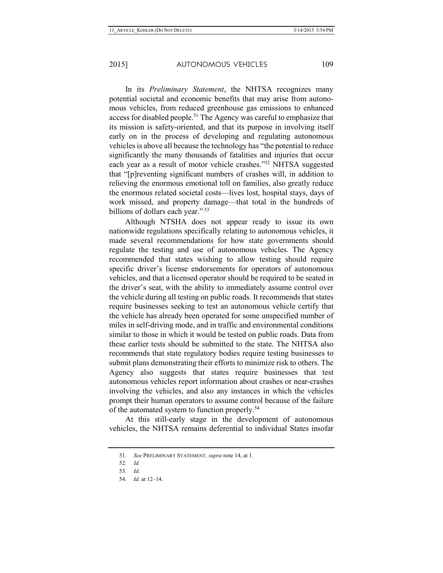In its *Preliminary Statement*, the NHTSA recognizes many potential societal and economic benefits that may arise from autonomous vehicles, from reduced greenhouse gas emissions to enhanced access for disabled people.51 The Agency was careful to emphasize that its mission is safety-oriented, and that its purpose in involving itself early on in the process of developing and regulating autonomous vehicles is above all because the technology has "the potential to reduce significantly the many thousands of fatalities and injuries that occur each year as a result of motor vehicle crashes."52 NHTSA suggested that "[p]reventing significant numbers of crashes will, in addition to relieving the enormous emotional toll on families, also greatly reduce the enormous related societal costs—lives lost, hospital stays, days of work missed, and property damage—that total in the hundreds of billions of dollars each year."<sup>53</sup>

Although NTSHA does not appear ready to issue its own nationwide regulations specifically relating to autonomous vehicles, it made several recommendations for how state governments should regulate the testing and use of autonomous vehicles. The Agency recommended that states wishing to allow testing should require specific driver's license endorsements for operators of autonomous vehicles, and that a licensed operator should be required to be seated in the driver's seat, with the ability to immediately assume control over the vehicle during all testing on public roads. It recommends that states require businesses seeking to test an autonomous vehicle certify that the vehicle has already been operated for some unspecified number of miles in self-driving mode, and in traffic and environmental conditions similar to those in which it would be tested on public roads. Data from these earlier tests should be submitted to the state. The NHTSA also recommends that state regulatory bodies require testing businesses to submit plans demonstrating their efforts to minimize risk to others. The Agency also suggests that states require businesses that test autonomous vehicles report information about crashes or near-crashes involving the vehicles, and also any instances in which the vehicles prompt their human operators to assume control because of the failure of the automated system to function properly.54

At this still-early stage in the development of autonomous vehicles, the NHTSA remains deferential to individual States insofar

<sup>51.</sup> *See* PRELIMINARY STATEMENT*, supra* note 14, at 1.

<sup>52.</sup> *Id.*

<sup>53.</sup> *Id.*

<sup>54.</sup> *Id.* at 12–14.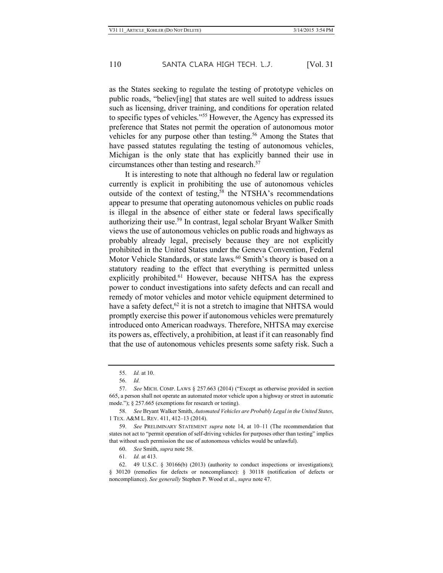as the States seeking to regulate the testing of prototype vehicles on public roads, "believ[ing] that states are well suited to address issues such as licensing, driver training, and conditions for operation related to specific types of vehicles."55 However, the Agency has expressed its preference that States not permit the operation of autonomous motor vehicles for any purpose other than testing.<sup>56</sup> Among the States that have passed statutes regulating the testing of autonomous vehicles, Michigan is the only state that has explicitly banned their use in circumstances other than testing and research.<sup>57</sup>

It is interesting to note that although no federal law or regulation currently is explicit in prohibiting the use of autonomous vehicles outside of the context of testing,<sup>58</sup> the NTSHA's recommendations appear to presume that operating autonomous vehicles on public roads is illegal in the absence of either state or federal laws specifically authorizing their use.<sup>59</sup> In contrast, legal scholar Bryant Walker Smith views the use of autonomous vehicles on public roads and highways as probably already legal, precisely because they are not explicitly prohibited in the United States under the Geneva Convention, Federal Motor Vehicle Standards, or state laws.<sup>60</sup> Smith's theory is based on a statutory reading to the effect that everything is permitted unless explicitly prohibited.<sup>61</sup> However, because NHTSA has the express power to conduct investigations into safety defects and can recall and remedy of motor vehicles and motor vehicle equipment determined to have a safety defect,  $62$  it is not a stretch to imagine that NHTSA would promptly exercise this power if autonomous vehicles were prematurely introduced onto American roadways. Therefore, NHTSA may exercise its powers as, effectively, a prohibition, at least if it can reasonably find that the use of autonomous vehicles presents some safety risk. Such a

61. *Id.* at 413.

62. 49 U.S.C. § 30166(b) (2013) (authority to conduct inspections or investigations); § 30120 (remedies for defects or noncompliance): § 30118 (notification of defects or noncompliance). *See generally* Stephen P. Wood et al., *supra* note 47.

<sup>55.</sup> *Id.* at 10.

<sup>56.</sup> *Id.*

<sup>57.</sup> *See* MICH. COMP. LAWS § 257.663 (2014) ("Except as otherwise provided in section 665, a person shall not operate an automated motor vehicle upon a highway or street in automatic mode."); § 257.665 (exemptions for research or testing).

<sup>58.</sup> *See* Bryant Walker Smith, *Automated Vehicles are Probably Legal in the United States*, 1 TEX. A&M L. REV. 411, 412–13 (2014).

<sup>59.</sup> *See* PRELIMINARY STATEMENT *supra* note 14, at 10–11 (The recommendation that states not act to "permit operation of self-driving vehicles for purposes other than testing" implies that without such permission the use of autonomous vehicles would be unlawful).

<sup>60.</sup> *See* Smith, *supra* note 58.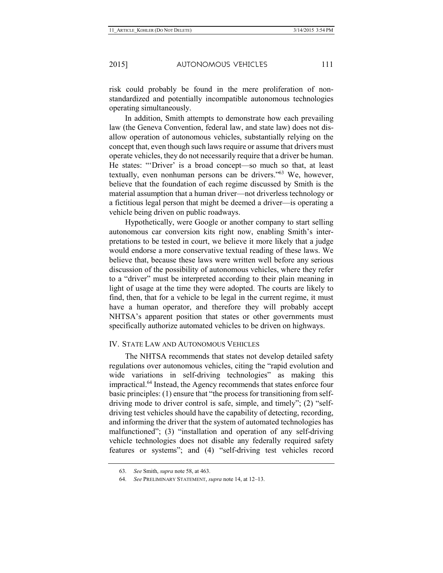risk could probably be found in the mere proliferation of nonstandardized and potentially incompatible autonomous technologies operating simultaneously.

In addition, Smith attempts to demonstrate how each prevailing law (the Geneva Convention, federal law, and state law) does not disallow operation of autonomous vehicles, substantially relying on the concept that, even though such laws require or assume that drivers must operate vehicles, they do not necessarily require that a driver be human. He states: "'Driver' is a broad concept—so much so that, at least textually, even nonhuman persons can be drivers."63 We, however, believe that the foundation of each regime discussed by Smith is the material assumption that a human driver—not driverless technology or a fictitious legal person that might be deemed a driver—is operating a vehicle being driven on public roadways.

Hypothetically, were Google or another company to start selling autonomous car conversion kits right now, enabling Smith's interpretations to be tested in court, we believe it more likely that a judge would endorse a more conservative textual reading of these laws. We believe that, because these laws were written well before any serious discussion of the possibility of autonomous vehicles, where they refer to a "driver" must be interpreted according to their plain meaning in light of usage at the time they were adopted. The courts are likely to find, then, that for a vehicle to be legal in the current regime, it must have a human operator, and therefore they will probably accept NHTSA's apparent position that states or other governments must specifically authorize automated vehicles to be driven on highways.

#### IV. STATE LAW AND AUTONOMOUS VEHICLES

The NHTSA recommends that states not develop detailed safety regulations over autonomous vehicles, citing the "rapid evolution and wide variations in self-driving technologies" as making this impractical.64 Instead, the Agency recommends that states enforce four basic principles: (1) ensure that "the process for transitioning from selfdriving mode to driver control is safe, simple, and timely"; (2) "selfdriving test vehicles should have the capability of detecting, recording, and informing the driver that the system of automated technologies has malfunctioned"; (3) "installation and operation of any self-driving vehicle technologies does not disable any federally required safety features or systems"; and (4) "self-driving test vehicles record

<sup>63.</sup> *See* Smith, *supra* note 58, at 463.

<sup>64.</sup> *See* PRELIMINARY STATEMENT, *supra* note 14, at 12–13.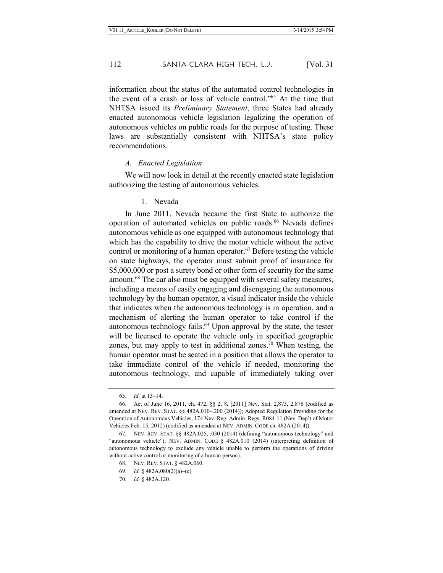information about the status of the automated control technologies in the event of a crash or loss of vehicle control."65 At the time that NHTSA issued its *Preliminary Statement*, three States had already enacted autonomous vehicle legislation legalizing the operation of autonomous vehicles on public roads for the purpose of testing. These laws are substantially consistent with NHTSA's state policy recommendations.

#### *A. Enacted Legislation*

We will now look in detail at the recently enacted state legislation authorizing the testing of autonomous vehicles.

1. Nevada

In June 2011, Nevada became the first State to authorize the operation of automated vehicles on public roads.<sup>66</sup> Nevada defines autonomous vehicle as one equipped with autonomous technology that which has the capability to drive the motor vehicle without the active control or monitoring of a human operator.<sup>67</sup> Before testing the vehicle on state highways, the operator must submit proof of insurance for \$5,000,000 or post a surety bond or other form of security for the same amount.<sup>68</sup> The car also must be equipped with several safety measures, including a means of easily engaging and disengaging the autonomous technology by the human operator, a visual indicator inside the vehicle that indicates when the autonomous technology is in operation, and a mechanism of alerting the human operator to take control if the autonomous technology fails.<sup>69</sup> Upon approval by the state, the tester will be licensed to operate the vehicle only in specified geographic zones, but may apply to test in additional zones.<sup>70</sup> When testing, the human operator must be seated in a position that allows the operator to take immediate control of the vehicle if needed, monitoring the autonomous technology, and capable of immediately taking over

68. NEV. REV. STAT. § 482A.060.

<sup>65.</sup> *Id.* at 13–14.

<sup>66.</sup> Act of June 16, 2011, ch. 472, §§ 2, 8, [2011] Nev. Stat. 2,873, 2,876 (codified as amended at NEV. REV. STAT. §§ 482A.010–.200 (2014)); Adopted Regulation Providing for the Operation of Autonomous Vehicles, 174 Nev. Reg. Admin. Regs. R084-11 (Nev. Dep't of Motor Vehicles Feb. 15, 2012) (codified as amended at NEV. ADMIN. CODE ch. 482A (2014)).

<sup>67.</sup> NEV. REV. STAT. §§ 482A.025, .030 (2014) (defining "autonomous technology" and "autonomous vehicle"); NEV. ADMIN. CODE § 482A.010 (2014) (interpreting definition of autonomous technology to exclude any vehicle unable to perform the operations of driving without active control or monitoring of a human person).

<sup>69.</sup> *Id.* § 482A.080(2)(a)–(c).

<sup>70.</sup> *Id.* § 482A.120.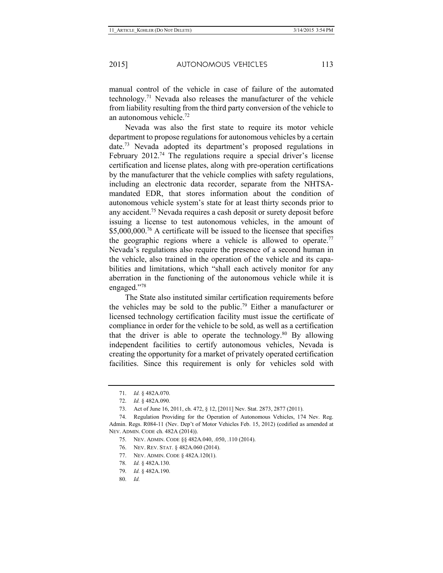manual control of the vehicle in case of failure of the automated technology.71 Nevada also releases the manufacturer of the vehicle from liability resulting from the third party conversion of the vehicle to an autonomous vehicle.72

Nevada was also the first state to require its motor vehicle department to propose regulations for autonomous vehicles by a certain date.73 Nevada adopted its department's proposed regulations in February 2012<sup>74</sup> The regulations require a special driver's license certification and license plates, along with pre-operation certifications by the manufacturer that the vehicle complies with safety regulations, including an electronic data recorder, separate from the NHTSAmandated EDR, that stores information about the condition of autonomous vehicle system's state for at least thirty seconds prior to any accident.75 Nevada requires a cash deposit or surety deposit before issuing a license to test autonomous vehicles, in the amount of \$5,000,000.<sup>76</sup> A certificate will be issued to the licensee that specifies the geographic regions where a vehicle is allowed to operate.<sup>77</sup> Nevada's regulations also require the presence of a second human in the vehicle, also trained in the operation of the vehicle and its capabilities and limitations, which "shall each actively monitor for any aberration in the functioning of the autonomous vehicle while it is engaged."78

The State also instituted similar certification requirements before the vehicles may be sold to the public.79 Either a manufacturer or licensed technology certification facility must issue the certificate of compliance in order for the vehicle to be sold, as well as a certification that the driver is able to operate the technology.<sup>80</sup> By allowing independent facilities to certify autonomous vehicles, Nevada is creating the opportunity for a market of privately operated certification facilities. Since this requirement is only for vehicles sold with

- 77. NEV. ADMIN. CODE § 482A.120(1).
- 78. *Id.* § 482A.130.
- 79. *Id.* § 482A.190.
- 80. *Id.*

<sup>71.</sup> *Id.* § 482A.070.

<sup>72.</sup> *Id.* § 482A.090.

<sup>73.</sup> Act of June 16, 2011, ch. 472, § 12, [2011] Nev. Stat. 2873, 2877 (2011).

<sup>74.</sup> Regulation Providing for the Operation of Autonomous Vehicles, 174 Nev. Reg. Admin. Regs. R084-11 (Nev. Dep't of Motor Vehicles Feb. 15, 2012) (codified as amended at NEV. ADMIN. CODE ch. 482A (2014)).

<sup>75.</sup> NEV. ADMIN. CODE §§ 482A.040, .050, .110 (2014).

<sup>76.</sup> NEV. REV. STAT. § 482A.060 (2014).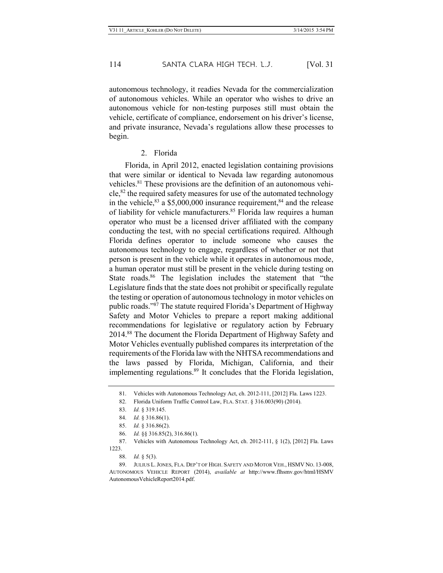autonomous technology, it readies Nevada for the commercialization of autonomous vehicles. While an operator who wishes to drive an autonomous vehicle for non-testing purposes still must obtain the vehicle, certificate of compliance, endorsement on his driver's license, and private insurance, Nevada's regulations allow these processes to begin.

#### 2. Florida

Florida, in April 2012, enacted legislation containing provisions that were similar or identical to Nevada law regarding autonomous vehicles.<sup>81</sup> These provisions are the definition of an autonomous vehicle,82 the required safety measures for use of the automated technology in the vehicle,  $83$  a \$5,000,000 insurance requirement,  $84$  and the release of liability for vehicle manufacturers.<sup>85</sup> Florida law requires a human operator who must be a licensed driver affiliated with the company conducting the test, with no special certifications required. Although Florida defines operator to include someone who causes the autonomous technology to engage, regardless of whether or not that person is present in the vehicle while it operates in autonomous mode, a human operator must still be present in the vehicle during testing on State roads.<sup>86</sup> The legislation includes the statement that "the Legislature finds that the state does not prohibit or specifically regulate the testing or operation of autonomous technology in motor vehicles on public roads."87 The statute required Florida's Department of Highway Safety and Motor Vehicles to prepare a report making additional recommendations for legislative or regulatory action by February 2014.88 The document the Florida Department of Highway Safety and Motor Vehicles eventually published compares its interpretation of the requirements of the Florida law with the NHTSA recommendations and the laws passed by Florida, Michigan, California, and their implementing regulations.<sup>89</sup> It concludes that the Florida legislation,

<sup>81.</sup> Vehicles with Autonomous Technology Act, ch. 2012-111, [2012] Fla. Laws 1223.

<sup>82.</sup> Florida Uniform Traffic Control Law, FLA. STAT. § 316.003(90) (2014).

<sup>83.</sup> *Id.* § 319.145.

<sup>84.</sup> *Id.* § 316.86(1).

<sup>85.</sup> *Id.* § 316.86(2).

<sup>86.</sup> *Id.* §§ 316.85(2), 316.86(1).

<sup>87.</sup> Vehicles with Autonomous Technology Act, ch. 2012-111, § 1(2), [2012] Fla. Laws 1223.

<sup>88.</sup> *Id.* § 5(3).

<sup>89.</sup> JULIUS L.JONES, FLA. DEP'T OF HIGH. SAFETY AND MOTOR VEH., HSMV NO. 13-008, AUTONOMOUS VEHICLE REPORT (2014), *available at* http://www.flhsmv.gov/html/HSMV AutonomousVehicleReport2014.pdf.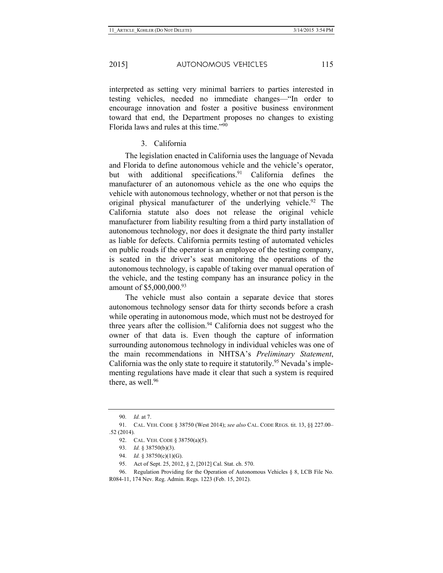interpreted as setting very minimal barriers to parties interested in testing vehicles, needed no immediate changes—"In order to encourage innovation and foster a positive business environment toward that end, the Department proposes no changes to existing Florida laws and rules at this time."90

3. California

The legislation enacted in California uses the language of Nevada and Florida to define autonomous vehicle and the vehicle's operator, but with additional specifications.<sup>91</sup> California defines the manufacturer of an autonomous vehicle as the one who equips the vehicle with autonomous technology, whether or not that person is the original physical manufacturer of the underlying vehicle.<sup>92</sup> The California statute also does not release the original vehicle manufacturer from liability resulting from a third party installation of autonomous technology, nor does it designate the third party installer as liable for defects. California permits testing of automated vehicles on public roads if the operator is an employee of the testing company, is seated in the driver's seat monitoring the operations of the autonomous technology, is capable of taking over manual operation of the vehicle, and the testing company has an insurance policy in the amount of \$5,000,000.<sup>93</sup>

The vehicle must also contain a separate device that stores autonomous technology sensor data for thirty seconds before a crash while operating in autonomous mode, which must not be destroyed for three years after the collision.<sup>94</sup> California does not suggest who the owner of that data is. Even though the capture of information surrounding autonomous technology in individual vehicles was one of the main recommendations in NHTSA's *Preliminary Statement*, California was the only state to require it statutorily.<sup>95</sup> Nevada's implementing regulations have made it clear that such a system is required there, as well. $96$ 

<sup>90.</sup> *Id.* at 7.

<sup>91.</sup> CAL. VEH. CODE § 38750 (West 2014); *see also* CAL. CODE REGS. tit. 13, §§ 227.00– .52 (2014).

<sup>92.</sup> CAL. VEH. CODE § 38750(a)(5).

<sup>93.</sup> *Id.* § 38750(b)(3).

<sup>94.</sup> *Id.* § 38750(c)(1)(G).

<sup>95.</sup> Act of Sept. 25, 2012, § 2, [2012] Cal. Stat. ch. 570.

<sup>96.</sup> Regulation Providing for the Operation of Autonomous Vehicles § 8, LCB File No. R084-11, 174 Nev. Reg. Admin. Regs. 1223 (Feb. 15, 2012).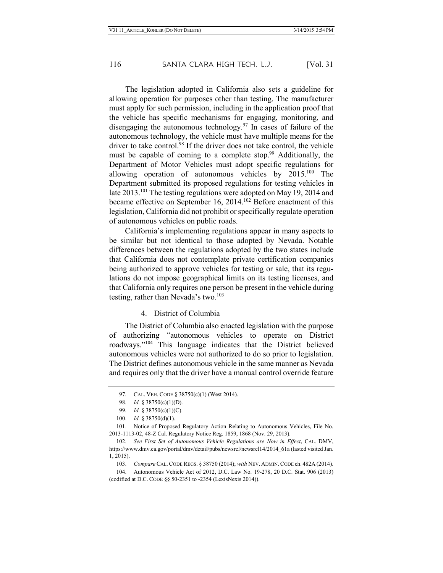The legislation adopted in California also sets a guideline for allowing operation for purposes other than testing. The manufacturer must apply for such permission, including in the application proof that the vehicle has specific mechanisms for engaging, monitoring, and disengaging the autonomous technology.97 In cases of failure of the autonomous technology, the vehicle must have multiple means for the driver to take control.<sup>98</sup> If the driver does not take control, the vehicle must be capable of coming to a complete stop.<sup>99</sup> Additionally, the Department of Motor Vehicles must adopt specific regulations for allowing operation of autonomous vehicles by 2015.100 The Department submitted its proposed regulations for testing vehicles in late 2013.<sup>101</sup> The testing regulations were adopted on May 19, 2014 and became effective on September 16, 2014.<sup>102</sup> Before enactment of this legislation, California did not prohibit or specifically regulate operation of autonomous vehicles on public roads.

California's implementing regulations appear in many aspects to be similar but not identical to those adopted by Nevada. Notable differences between the regulations adopted by the two states include that California does not contemplate private certification companies being authorized to approve vehicles for testing or sale, that its regulations do not impose geographical limits on its testing licenses, and that California only requires one person be present in the vehicle during testing, rather than Nevada's two. $103$ 

#### 4. District of Columbia

The District of Columbia also enacted legislation with the purpose of authorizing "autonomous vehicles to operate on District roadways."104 This language indicates that the District believed autonomous vehicles were not authorized to do so prior to legislation. The District defines autonomous vehicle in the same manner as Nevada and requires only that the driver have a manual control override feature

<sup>97.</sup> CAL. VEH. CODE § 38750(c)(1) (West 2014).

<sup>98.</sup> *Id.* § 38750(c)(1)(D).

<sup>99.</sup> *Id.* § 38750(c)(1)(C).

<sup>100.</sup> *Id.* § 38750(d)(1).

<sup>101.</sup> Notice of Proposed Regulatory Action Relating to Autonomous Vehicles, File No. 2013-1113-02, 48-Z Cal. Regulatory Notice Reg. 1859, 1868 (Nov. 29, 2013).

<sup>102.</sup> *See First Set of Autonomous Vehicle Regulations are Now in Effect*, CAL. DMV, https://www.dmv.ca.gov/portal/dmv/detail/pubs/newsrel/newsrel14/2014\_61a (lasted visited Jan. 1, 2015).

<sup>103.</sup> *Compare* CAL. CODE REGS. § 38750 (2014); *with* NEV. ADMIN. CODE ch. 482A (2014).

<sup>104.</sup> Autonomous Vehicle Act of 2012, D.C. Law No. 19-278, 20 D.C. Stat. 906 (2013) (codified at D.C. CODE §§ 50-2351 to -2354 (LexisNexis 2014)).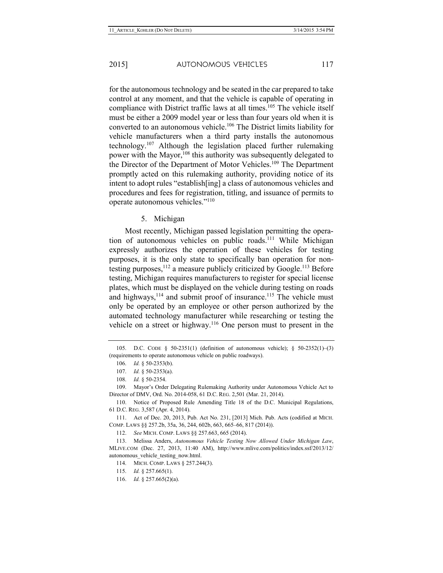for the autonomous technology and be seated in the car prepared to take control at any moment, and that the vehicle is capable of operating in compliance with District traffic laws at all times.<sup>105</sup> The vehicle itself must be either a 2009 model year or less than four years old when it is converted to an autonomous vehicle.106 The District limits liability for vehicle manufacturers when a third party installs the autonomous technology.107 Although the legislation placed further rulemaking power with the Mayor,<sup>108</sup> this authority was subsequently delegated to the Director of the Department of Motor Vehicles.<sup>109</sup> The Department promptly acted on this rulemaking authority, providing notice of its intent to adopt rules "establish[ing] a class of autonomous vehicles and procedures and fees for registration, titling, and issuance of permits to operate autonomous vehicles."110

#### 5. Michigan

Most recently, Michigan passed legislation permitting the operation of autonomous vehicles on public roads.<sup>111</sup> While Michigan expressly authorizes the operation of these vehicles for testing purposes, it is the only state to specifically ban operation for nontesting purposes,  $112$  a measure publicly criticized by Google.<sup>113</sup> Before testing, Michigan requires manufacturers to register for special license plates, which must be displayed on the vehicle during testing on roads and highways,  $114$  and submit proof of insurance.<sup>115</sup> The vehicle must only be operated by an employee or other person authorized by the automated technology manufacturer while researching or testing the vehicle on a street or highway.116 One person must to present in the

<sup>105.</sup> D.C. CODE § 50-2351(1) (definition of autonomous vehicle); § 50-2352(1)–(3) (requirements to operate autonomous vehicle on public roadways).

<sup>106.</sup> *Id.* § 50-2353(b).

<sup>107.</sup> *Id.* § 50-2353(a).

<sup>108.</sup> *Id.* § 50-2354.

<sup>109.</sup> Mayor's Order Delegating Rulemaking Authority under Autonomous Vehicle Act to Director of DMV, Ord. No. 2014-058, 61 D.C. REG. 2,501 (Mar. 21, 2014).

<sup>110.</sup> Notice of Proposed Rule Amending Title 18 of the D.C. Municipal Regulations, 61 D.C. REG. 3,587 (Apr. 4, 2014).

<sup>111.</sup> Act of Dec. 20, 2013, Pub. Act No. 231, [2013] Mich. Pub. Acts (codified at MICH. COMP. LAWS §§ 257.2b, 35a, 36, 244, 602b, 663, 665–66, 817 (2014)).

<sup>112.</sup> *See* MICH. COMP. LAWS §§ 257.663, 665 (2014).

<sup>113.</sup> Melissa Anders, *Autonomous Vehicle Testing Now Allowed Under Michigan Law*, MLIVE.COM (Dec. 27, 2013, 11:40 AM), http://www.mlive.com/politics/index.ssf/2013/12/ autonomous\_vehicle\_testing\_now.html.

<sup>114.</sup> MICH. COMP. LAWS § 257.244(3).

<sup>115.</sup> *Id.* § 257.665(1).

<sup>116.</sup> *Id.* § 257.665(2)(a).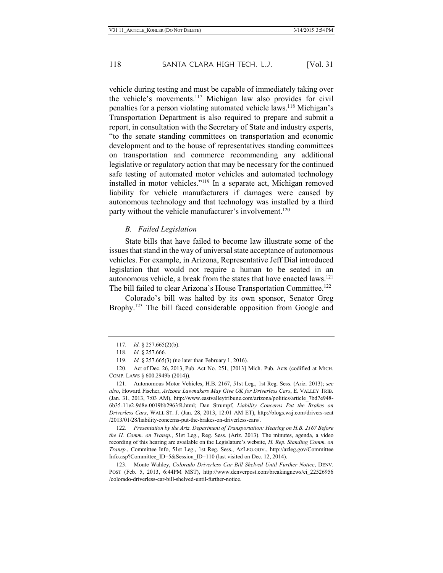vehicle during testing and must be capable of immediately taking over the vehicle's movements.117 Michigan law also provides for civil penalties for a person violating automated vehicle laws.118 Michigan's Transportation Department is also required to prepare and submit a report, in consultation with the Secretary of State and industry experts, "to the senate standing committees on transportation and economic development and to the house of representatives standing committees on transportation and commerce recommending any additional legislative or regulatory action that may be necessary for the continued safe testing of automated motor vehicles and automated technology installed in motor vehicles."119 In a separate act, Michigan removed liability for vehicle manufacturers if damages were caused by autonomous technology and that technology was installed by a third party without the vehicle manufacturer's involvement.<sup>120</sup>

#### *B. Failed Legislation*

State bills that have failed to become law illustrate some of the issues that stand in the way of universal state acceptance of autonomous vehicles. For example, in Arizona, Representative Jeff Dial introduced legislation that would not require a human to be seated in an autonomous vehicle, a break from the states that have enacted laws.121 The bill failed to clear Arizona's House Transportation Committee.<sup>122</sup>

Colorado's bill was halted by its own sponsor, Senator Greg Brophy.<sup>123</sup> The bill faced considerable opposition from Google and

122. *Presentation by the Ariz. Department of Transportation: Hearing on H.B. 2167 Before the H. Comm. on Transp.*, 51st Leg., Reg. Sess. (Ariz. 2013). The minutes, agenda, a video recording of this hearing are available on the Legislature's website, *H. Rep. Standing Comm. on Transp.*, Committee Info, 51st Leg., 1st Reg. Sess., AZLEG.GOV., http://azleg.gov/Committee Info.asp?Committee\_ID=5&Session\_ID=110 (last visited on Dec. 12, 2014).

123. Monte Wahley, *Colorado Driverless Car Bill Shelved Until Further Notice*, DENV. POST (Feb. 5, 2013, 6:44PM MST), http://www.denverpost.com/breakingnews/ci\_22526956 /colorado-driverless-car-bill-shelved-until-further-notice.

<sup>117.</sup> *Id.* § 257.665(2)(b).

<sup>118.</sup> *Id.* § 257.666.

<sup>119.</sup> *Id.* § 257.665(3) (no later than February 1, 2016).

<sup>120.</sup> Act of Dec. 26, 2013, Pub. Act No. 251, [2013] Mich. Pub. Acts (codified at MICH. COMP. LAWS § 600.2949b (2014)).

<sup>121.</sup> Autonomous Motor Vehicles, H.B. 2167, 51st Leg., 1st Reg. Sess. (Ariz. 2013); *see also*, Howard Fischer, *Arizona Lawmakers May Give OK for Driverless Cars*, E. VALLEY TRIB. (Jan. 31, 2013, 7:03 AM), http://www.eastvalleytribune.com/arizona/politics/article\_7bd7e948- 6b35-11e2-9d8e-0019bb2963f4.html; Dan Strumpf, *Liability Concerns Put the Brakes on Driverless Cars*, WALL ST. J. (Jan. 28, 2013, 12:01 AM ET), http://blogs.wsj.com/drivers-seat /2013/01/28/liability-concerns-put-the-brakes-on-driverless-cars/.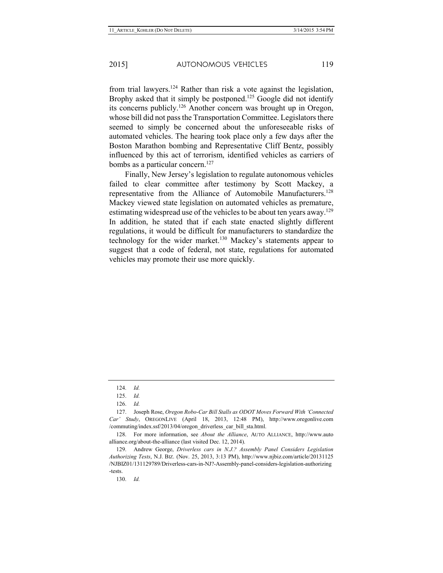from trial lawyers.<sup>124</sup> Rather than risk a vote against the legislation, Brophy asked that it simply be postponed.<sup>125</sup> Google did not identify its concerns publicly.126 Another concern was brought up in Oregon, whose bill did not pass the Transportation Committee. Legislators there seemed to simply be concerned about the unforeseeable risks of automated vehicles. The hearing took place only a few days after the Boston Marathon bombing and Representative Cliff Bentz, possibly influenced by this act of terrorism, identified vehicles as carriers of bombs as a particular concern.<sup>127</sup>

Finally, New Jersey's legislation to regulate autonomous vehicles failed to clear committee after testimony by Scott Mackey, a representative from the Alliance of Automobile Manufacturers.128 Mackey viewed state legislation on automated vehicles as premature, estimating widespread use of the vehicles to be about ten years away.<sup>129</sup> In addition, he stated that if each state enacted slightly different regulations, it would be difficult for manufacturers to standardize the technology for the wider market.<sup>130</sup> Mackey's statements appear to suggest that a code of federal, not state, regulations for automated vehicles may promote their use more quickly.

128. For more information, see *About the Alliance*, AUTO ALLIANCE, http://www.auto alliance.org/about-the-alliance (last visited Dec. 12, 2014).

129. Andrew George, *Driverless cars in N.J.? Assembly Panel Considers Legislation Authorizing Tests*, N.J. BIZ. (Nov. 25, 2013, 3:13 PM), http://www.njbiz.com/article/20131125 /NJBIZ01/131129789/Driverless-cars-in-NJ?-Assembly-panel-considers-legislation-authorizing -tests.

130. *Id.*

<sup>124.</sup> *Id.*

<sup>125.</sup> *Id.*

<sup>126.</sup> *Id.*

<sup>127.</sup> Joseph Rose, *Oregon Robo-Car Bill Stalls as ODOT Moves Forward With 'Connected Car' Study*, OREGONLIVE (April 18, 2013, 12:48 PM), http://www.oregonlive.com /commuting/index.ssf/2013/04/oregon\_driverless\_car\_bill\_sta.html.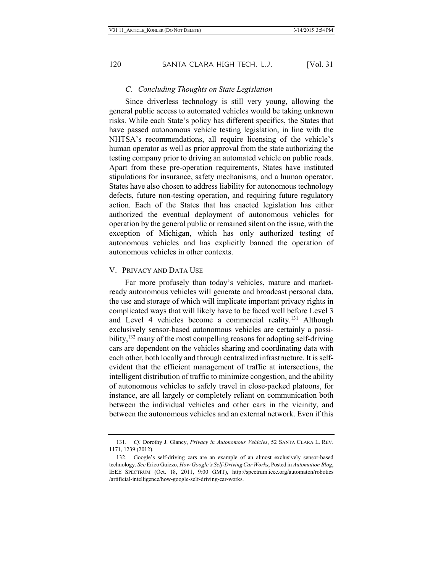#### *C. Concluding Thoughts on State Legislation*

Since driverless technology is still very young, allowing the general public access to automated vehicles would be taking unknown risks. While each State's policy has different specifics, the States that have passed autonomous vehicle testing legislation, in line with the NHTSA's recommendations, all require licensing of the vehicle's human operator as well as prior approval from the state authorizing the testing company prior to driving an automated vehicle on public roads. Apart from these pre-operation requirements, States have instituted stipulations for insurance, safety mechanisms, and a human operator. States have also chosen to address liability for autonomous technology defects, future non-testing operation, and requiring future regulatory action. Each of the States that has enacted legislation has either authorized the eventual deployment of autonomous vehicles for operation by the general public or remained silent on the issue, with the exception of Michigan, which has only authorized testing of autonomous vehicles and has explicitly banned the operation of autonomous vehicles in other contexts.

#### V. PRIVACY AND DATA USE

Far more profusely than today's vehicles, mature and marketready autonomous vehicles will generate and broadcast personal data, the use and storage of which will implicate important privacy rights in complicated ways that will likely have to be faced well before Level 3 and Level 4 vehicles become a commercial reality.<sup>131</sup> Although exclusively sensor-based autonomous vehicles are certainly a possibility,<sup>132</sup> many of the most compelling reasons for adopting self-driving cars are dependent on the vehicles sharing and coordinating data with each other, both locally and through centralized infrastructure. It is selfevident that the efficient management of traffic at intersections, the intelligent distribution of traffic to minimize congestion, and the ability of autonomous vehicles to safely travel in close-packed platoons, for instance, are all largely or completely reliant on communication both between the individual vehicles and other cars in the vicinity, and between the autonomous vehicles and an external network. Even if this

<sup>131.</sup> *Cf.* Dorothy J. Glancy, *Privacy in Autonomous Vehicles*, 52 SANTA CLARA L. REV. 1171, 1239 (2012).

<sup>132.</sup> Google's self-driving cars are an example of an almost exclusively sensor-based technology. *See* Erico Guizzo, *How Google's Self-Driving Car Works*, Posted in *Automation Blog*, IEEE SPECTRUM (Oct. 18, 2011, 9:00 GMT), http://spectrum.ieee.org/automaton/robotics /artificial-intelligence/how-google-self-driving-car-works.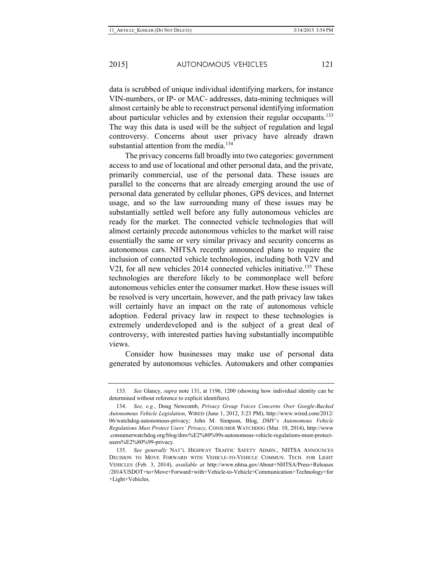data is scrubbed of unique individual identifying markers, for instance VIN-numbers, or IP- or MAC- addresses, data-mining techniques will almost certainly be able to reconstruct personal identifying information about particular vehicles and by extension their regular occupants.<sup>133</sup> The way this data is used will be the subject of regulation and legal controversy. Concerns about user privacy have already drawn substantial attention from the media.<sup>134</sup>

The privacy concerns fall broadly into two categories: government access to and use of locational and other personal data, and the private, primarily commercial, use of the personal data. These issues are parallel to the concerns that are already emerging around the use of personal data generated by cellular phones, GPS devices, and Internet usage, and so the law surrounding many of these issues may be substantially settled well before any fully autonomous vehicles are ready for the market. The connected vehicle technologies that will almost certainly precede autonomous vehicles to the market will raise essentially the same or very similar privacy and security concerns as autonomous cars. NHTSA recently announced plans to require the inclusion of connected vehicle technologies, including both V2V and V2I, for all new vehicles 2014 connected vehicles initiative.<sup>135</sup> These technologies are therefore likely to be commonplace well before autonomous vehicles enter the consumer market. How these issues will be resolved is very uncertain, however, and the path privacy law takes will certainly have an impact on the rate of autonomous vehicle adoption. Federal privacy law in respect to these technologies is extremely underdeveloped and is the subject of a great deal of controversy, with interested parties having substantially incompatible views.

Consider how businesses may make use of personal data generated by autonomous vehicles. Automakers and other companies

<sup>133.</sup> *See* Glancy, *supra* note 131, at 1196, 1200 (showing how individual identity can be determined without reference to explicit identifiers).

<sup>134.</sup> *See, e.g.*, Doug Newcomb, *Privacy Group Voices Concerns Over Google-Backed Autonomous Vehicle Legislation*, WIRED (June 1, 2012, 3:23 PM), http://www.wired.com/2012/ 06/watchdog-autonomous-privacy; John M. Simpson, Blog, *DMV's Autonomous Vehicle Regulations Must Protect Users' Privacy*, CONSUMER WATCHDOG (Mar. 10, 2014), http://www .consumerwatchdog.org/blog/dmv%E2%80%99s-autonomous-vehicle-regulations-must-protectusers%E2%80%99-privacy.

<sup>135.</sup> *See generally* NAT'L HIGHWAY TRAFFIC SAFETY ADMIN., NHTSA ANNOUNCES DECISION TO MOVE FORWARD WITH VEHICLE-TO-VEHICLE COMMUN. TECH. FOR LIGHT VEHICLES (Feb. 3, 2014), *available at* http://www.nhtsa.gov/About+NHTSA/Press+Releases /2014/USDOT+to+Move+Forward+with+Vehicle-to-Vehicle+Communication+Technology+for +Light+Vehicles.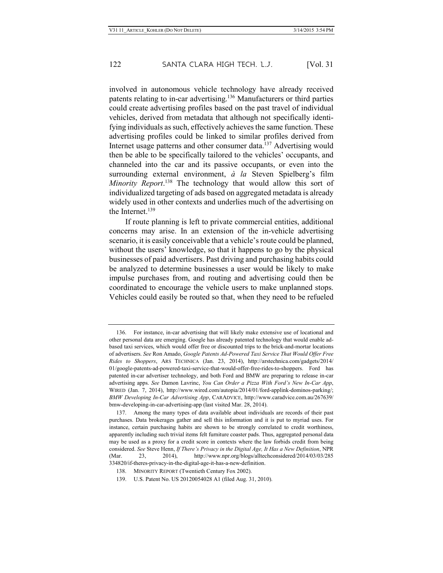involved in autonomous vehicle technology have already received patents relating to in-car advertising.136 Manufacturers or third parties could create advertising profiles based on the past travel of individual vehicles, derived from metadata that although not specifically identifying individuals as such, effectively achieves the same function. These advertising profiles could be linked to similar profiles derived from Internet usage patterns and other consumer data.<sup>137</sup> Advertising would then be able to be specifically tailored to the vehicles' occupants, and channeled into the car and its passive occupants, or even into the surrounding external environment, *à la* Steven Spielberg's film *Minority Report*. <sup>138</sup> The technology that would allow this sort of individualized targeting of ads based on aggregated metadata is already widely used in other contexts and underlies much of the advertising on the Internet.<sup>139</sup>

If route planning is left to private commercial entities, additional concerns may arise. In an extension of the in-vehicle advertising scenario, it is easily conceivable that a vehicle's route could be planned, without the users' knowledge, so that it happens to go by the physical businesses of paid advertisers. Past driving and purchasing habits could be analyzed to determine businesses a user would be likely to make impulse purchases from, and routing and advertising could then be coordinated to encourage the vehicle users to make unplanned stops. Vehicles could easily be routed so that, when they need to be refueled

<sup>136.</sup> For instance, in-car advertising that will likely make extensive use of locational and other personal data are emerging. Google has already patented technology that would enable adbased taxi services, which would offer free or discounted trips to the brick-and-mortar locations of advertisers. *See* Ron Amado, *Google Patents Ad-Powered Taxi Service That Would Offer Free Rides to Shoppers*, ARS TECHNICA (Jan. 23, 2014), http://arstechnica.com/gadgets/2014/ 01/google-patents-ad-powered-taxi-service-that-would-offer-free-rides-to-shoppers. Ford has patented in-car advertiser technology, and both Ford and BMW are preparing to release in-car advertising apps. *See* Damon Lavrinc, *You Can Order a Pizza With Ford's New In-Car App*, WIRED (Jan. 7, 2014), http://www.wired.com/autopia/2014/01/ford-applink-dominos-parking/; *BMW Developing In-Car Advertising App*, CARADVICE, http://www.caradvice.com.au/267639/ bmw-developing-in-car-advertising-app (last visited Mar. 28, 2014).

<sup>137.</sup> Among the many types of data available about individuals are records of their past purchases. Data brokerages gather and sell this information and it is put to myriad uses. For instance, certain purchasing habits are shown to be strongly correlated to credit worthiness, apparently including such trivial items felt furniture coaster pads. Thus, aggregated personal data may be used as a proxy for a credit score in contexts where the law forbids credit from being considered. *See* Steve Henn, *If There's Privacy in the Digital Age, It Has a New Definition*, NPR (Mar. 23, 2014), http://www.npr.org/blogs/alltechconsidered/2014/03/03/285 334820/if-theres-privacy-in-the-digital-age-it-has-a-new-definition.

<sup>138.</sup> MINORITY REPORT (Twentieth Century Fox 2002).

<sup>139.</sup> U.S. Patent No. US 20120054028 A1 (filed Aug. 31, 2010).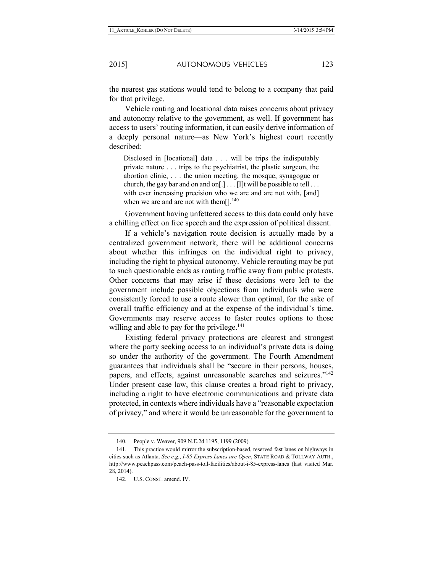the nearest gas stations would tend to belong to a company that paid for that privilege.

Vehicle routing and locational data raises concerns about privacy and autonomy relative to the government, as well. If government has access to users' routing information, it can easily derive information of a deeply personal nature—as New York's highest court recently described:

Disclosed in [locational] data . . . will be trips the indisputably private nature . . . trips to the psychiatrist, the plastic surgeon, the abortion clinic, . . . the union meeting, the mosque, synagogue or church, the gay bar and on and on  $[.]$ ... [I]t will be possible to tell... with ever increasing precision who we are and are not with, [and] when we are and are not with them $[]$ .<sup>140</sup>

Government having unfettered access to this data could only have a chilling effect on free speech and the expression of political dissent.

If a vehicle's navigation route decision is actually made by a centralized government network, there will be additional concerns about whether this infringes on the individual right to privacy, including the right to physical autonomy. Vehicle rerouting may be put to such questionable ends as routing traffic away from public protests. Other concerns that may arise if these decisions were left to the government include possible objections from individuals who were consistently forced to use a route slower than optimal, for the sake of overall traffic efficiency and at the expense of the individual's time. Governments may reserve access to faster routes options to those willing and able to pay for the privilege.<sup>141</sup>

Existing federal privacy protections are clearest and strongest where the party seeking access to an individual's private data is doing so under the authority of the government. The Fourth Amendment guarantees that individuals shall be "secure in their persons, houses, papers, and effects, against unreasonable searches and seizures."142 Under present case law, this clause creates a broad right to privacy, including a right to have electronic communications and private data protected, in contexts where individuals have a "reasonable expectation of privacy," and where it would be unreasonable for the government to

<sup>140.</sup> People v. Weaver, 909 N.E.2d 1195, 1199 (2009).

<sup>141.</sup> This practice would mirror the subscription-based, reserved fast lanes on highways in cities such as Atlanta. *See e.g.*, *I-85 Express Lanes are Open*, STATE ROAD & TOLLWAY AUTH., http://www.peachpass.com/peach-pass-toll-facilities/about-i-85-express-lanes (last visited Mar. 28, 2014).

<sup>142.</sup> U.S. CONST. amend. IV.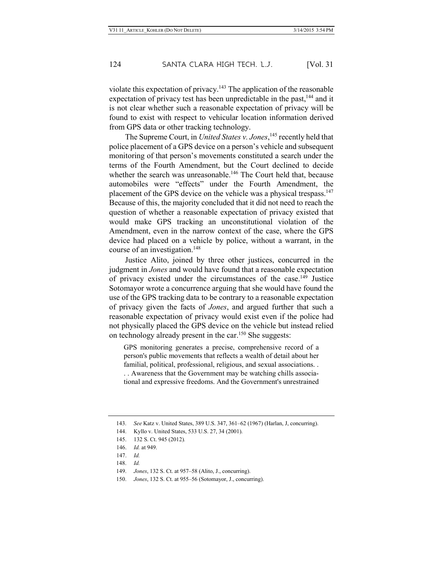violate this expectation of privacy.<sup>143</sup> The application of the reasonable expectation of privacy test has been unpredictable in the past,<sup>144</sup> and it is not clear whether such a reasonable expectation of privacy will be found to exist with respect to vehicular location information derived from GPS data or other tracking technology.

The Supreme Court, in *United States v. Jones*, <sup>145</sup> recently held that police placement of a GPS device on a person's vehicle and subsequent monitoring of that person's movements constituted a search under the terms of the Fourth Amendment, but the Court declined to decide whether the search was unreasonable.<sup>146</sup> The Court held that, because automobiles were "effects" under the Fourth Amendment, the placement of the GPS device on the vehicle was a physical trespass.<sup>147</sup> Because of this, the majority concluded that it did not need to reach the question of whether a reasonable expectation of privacy existed that would make GPS tracking an unconstitutional violation of the Amendment, even in the narrow context of the case, where the GPS device had placed on a vehicle by police, without a warrant, in the course of an investigation.<sup>148</sup>

Justice Alito, joined by three other justices, concurred in the judgment in *Jones* and would have found that a reasonable expectation of privacy existed under the circumstances of the case.149 Justice Sotomayor wrote a concurrence arguing that she would have found the use of the GPS tracking data to be contrary to a reasonable expectation of privacy given the facts of *Jones*, and argued further that such a reasonable expectation of privacy would exist even if the police had not physically placed the GPS device on the vehicle but instead relied on technology already present in the car.150 She suggests:

GPS monitoring generates a precise, comprehensive record of a person's public movements that reflects a wealth of detail about her familial, political, professional, religious, and sexual associations. . . . Awareness that the Government may be watching chills associational and expressive freedoms. And the Government's unrestrained

<sup>143.</sup> *See* Katz v. United States, 389 U.S. 347, 361–62 (1967) (Harlan, J, concurring).

<sup>144.</sup> Kyllo v. United States, 533 U.S. 27, 34 (2001).

<sup>145.</sup> 132 S. Ct. 945 (2012)*.*

<sup>146.</sup> *Id.* at 949.

<sup>147.</sup> *Id.*

<sup>148.</sup> *Id.*

<sup>149.</sup> *Jones*, 132 S. Ct. at 957–58 (Alito, J., concurring).

<sup>150.</sup> *Jones*, 132 S. Ct. at 955–56 (Sotomayor, J., concurring).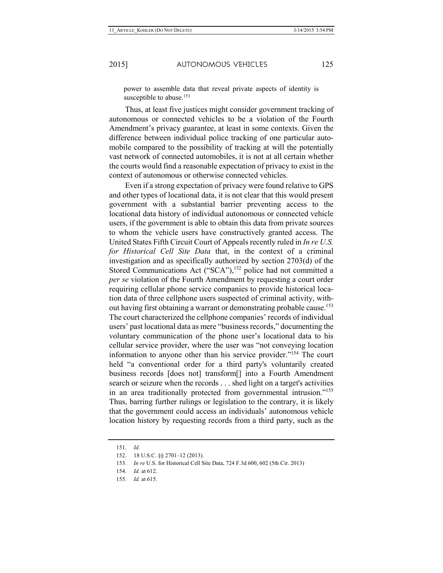power to assemble data that reveal private aspects of identity is susceptible to abuse.<sup>151</sup>

Thus, at least five justices might consider government tracking of autonomous or connected vehicles to be a violation of the Fourth Amendment's privacy guarantee, at least in some contexts. Given the difference between individual police tracking of one particular automobile compared to the possibility of tracking at will the potentially vast network of connected automobiles, it is not at all certain whether the courts would find a reasonable expectation of privacy to exist in the context of autonomous or otherwise connected vehicles.

Even if a strong expectation of privacy were found relative to GPS and other types of locational data, it is not clear that this would present government with a substantial barrier preventing access to the locational data history of individual autonomous or connected vehicle users, if the government is able to obtain this data from private sources to whom the vehicle users have constructively granted access. The United States Fifth Circuit Court of Appeals recently ruled in *In re U.S. for Historical Cell Site Data* that, in the context of a criminal investigation and as specifically authorized by section 2703(d) of the Stored Communications Act ("SCA"),<sup>152</sup> police had not committed a *per se* violation of the Fourth Amendment by requesting a court order requiring cellular phone service companies to provide historical location data of three cellphone users suspected of criminal activity, without having first obtaining a warrant or demonstrating probable cause.<sup>153</sup> The court characterized the cellphone companies' records of individual users' past locational data as mere "business records," documenting the voluntary communication of the phone user's locational data to his cellular service provider, where the user was "not conveying location information to anyone other than his service provider."154 The court held "a conventional order for a third party's voluntarily created business records [does not] transform[] into a Fourth Amendment search or seizure when the records . . . shed light on a target's activities in an area traditionally protected from governmental intrusion."155 Thus, barring further rulings or legislation to the contrary, it is likely that the government could access an individuals' autonomous vehicle location history by requesting records from a third party, such as the

<sup>151.</sup> *Id.*

<sup>152.</sup> 18 U.S.C. §§ 2701–12 (2013).

<sup>153.</sup> *In re* U.S. for Historical Cell Site Data, 724 F.3d 600, 602 (5th Cir. 2013)

<sup>154.</sup> *Id.* at 612.

<sup>155.</sup> *Id.* at 615.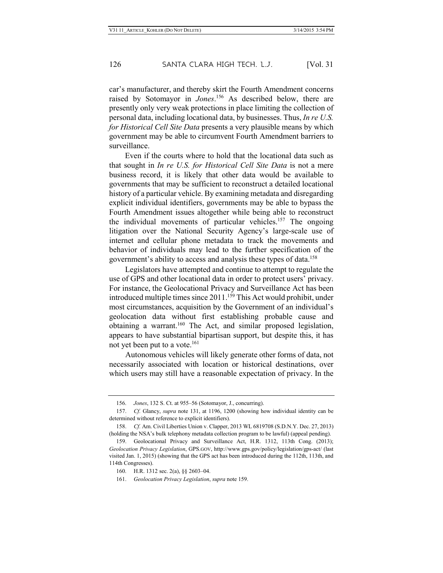car's manufacturer, and thereby skirt the Fourth Amendment concerns raised by Sotomayor in *Jones*. <sup>156</sup> As described below, there are presently only very weak protections in place limiting the collection of personal data, including locational data, by businesses. Thus, *In re U.S. for Historical Cell Site Data* presents a very plausible means by which government may be able to circumvent Fourth Amendment barriers to surveillance.

Even if the courts where to hold that the locational data such as that sought in *In re U.S. for Historical Cell Site Data* is not a mere business record, it is likely that other data would be available to governments that may be sufficient to reconstruct a detailed locational history of a particular vehicle. By examining metadata and disregarding explicit individual identifiers, governments may be able to bypass the Fourth Amendment issues altogether while being able to reconstruct the individual movements of particular vehicles.157 The ongoing litigation over the National Security Agency's large-scale use of internet and cellular phone metadata to track the movements and behavior of individuals may lead to the further specification of the government's ability to access and analysis these types of data.158

Legislators have attempted and continue to attempt to regulate the use of GPS and other locational data in order to protect users' privacy. For instance, the Geolocational Privacy and Surveillance Act has been introduced multiple times since 2011.<sup>159</sup> This Act would prohibit, under most circumstances, acquisition by the Government of an individual's geolocation data without first establishing probable cause and obtaining a warrant.160 The Act, and similar proposed legislation, appears to have substantial bipartisan support, but despite this, it has not yet been put to a vote.<sup>161</sup>

Autonomous vehicles will likely generate other forms of data, not necessarily associated with location or historical destinations, over which users may still have a reasonable expectation of privacy. In the

<sup>156.</sup> *Jones*, 132 S. Ct. at 955–56 (Sotomayor, J., concurring).

<sup>157.</sup> *Cf.* Glancy, *supra* note 131, at 1196, 1200 (showing how individual identity can be determined without reference to explicit identifiers).

<sup>158.</sup> *Cf.* Am. Civil Liberties Union v. Clapper, 2013 WL 6819708 (S.D.N.Y. Dec. 27, 2013) (holding the NSA's bulk telephony metadata collection program to be lawful) (appeal pending).

<sup>159.</sup> Geolocational Privacy and Surveillance Act, H.R. 1312, 113th Cong. (2013); *Geolocation Privacy Legislation*, GPS.GOV, http://www.gps.gov/policy/legislation/gps-act/ (last visited Jan. 1, 2015) (showing that the GPS act has been introduced during the 112th, 113th, and 114th Congresses).

<sup>160.</sup> H.R. 1312 sec. 2(a), §§ 2603–04.

<sup>161.</sup> *Geolocation Privacy Legislation*, *supra* note 159.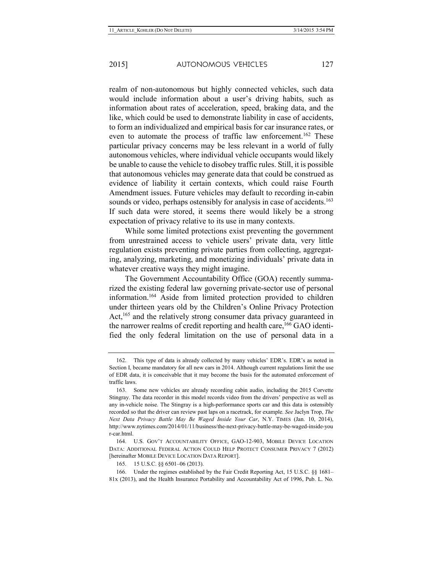realm of non-autonomous but highly connected vehicles, such data would include information about a user's driving habits, such as information about rates of acceleration, speed, braking data, and the like, which could be used to demonstrate liability in case of accidents, to form an individualized and empirical basis for car insurance rates, or even to automate the process of traffic law enforcement.<sup>162</sup> These particular privacy concerns may be less relevant in a world of fully autonomous vehicles, where individual vehicle occupants would likely be unable to cause the vehicle to disobey traffic rules. Still, it is possible that autonomous vehicles may generate data that could be construed as evidence of liability it certain contexts, which could raise Fourth Amendment issues. Future vehicles may default to recording in-cabin sounds or video, perhaps ostensibly for analysis in case of accidents.<sup>163</sup> If such data were stored, it seems there would likely be a strong expectation of privacy relative to its use in many contexts.

While some limited protections exist preventing the government from unrestrained access to vehicle users' private data, very little regulation exists preventing private parties from collecting, aggregating, analyzing, marketing, and monetizing individuals' private data in whatever creative ways they might imagine.

The Government Accountability Office (GOA) recently summarized the existing federal law governing private-sector use of personal information.164 Aside from limited protection provided to children under thirteen years old by the Children's Online Privacy Protection Act,<sup>165</sup> and the relatively strong consumer data privacy guaranteed in the narrower realms of credit reporting and health care,<sup>166</sup> GAO identified the only federal limitation on the use of personal data in a

<sup>162.</sup> This type of data is already collected by many vehicles' EDR's. EDR's as noted in Section I, became mandatory for all new cars in 2014. Although current regulations limit the use of EDR data, it is conceivable that it may become the basis for the automated enforcement of traffic laws.

<sup>163.</sup> Some new vehicles are already recording cabin audio, including the 2015 Corvette Stingray. The data recorder in this model records video from the drivers' perspective as well as any in-vehicle noise. The Stingray is a high-performance sports car and this data is ostensibly recorded so that the driver can review past laps on a racetrack, for example. *See* Jaclyn Trop, *The Next Data Privacy Battle May Be Waged Inside Your Car*, N.Y. TIMES (Jan. 10, 2014), http://www.nytimes.com/2014/01/11/business/the-next-privacy-battle-may-be-waged-inside-you r-car.html.

<sup>164.</sup> U.S. GOV'T ACCOUNTABILITY OFFICE, GAO-12-903, MOBILE DEVICE LOCATION DATA: ADDITIONAL FEDERAL ACTION COULD HELP PROTECT CONSUMER PRIVACY 7 (2012) [hereinafter MOBILE DEVICE LOCATION DATA REPORT].

<sup>165.</sup> 15 U.S.C. §§ 6501–06 (2013).

<sup>166.</sup> Under the regimes established by the Fair Credit Reporting Act, 15 U.S.C. §§ 1681– 81x (2013), and the Health Insurance Portability and Accountability Act of 1996, Pub. L. No.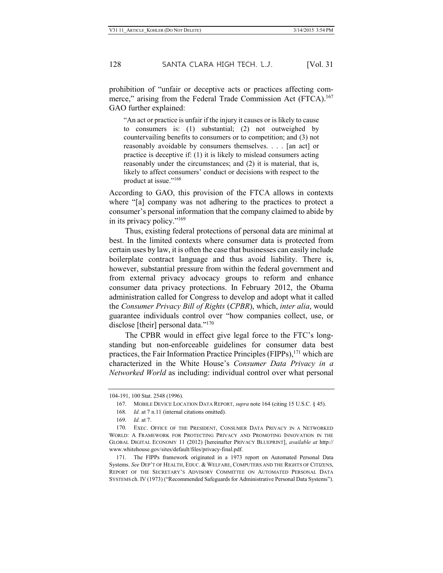prohibition of "unfair or deceptive acts or practices affecting commerce," arising from the Federal Trade Commission Act (FTCA).<sup>167</sup> GAO further explained:

"An act or practice is unfair if the injury it causes or is likely to cause to consumers is: (1) substantial; (2) not outweighed by countervailing benefits to consumers or to competition; and (3) not reasonably avoidable by consumers themselves. . . . [an act] or practice is deceptive if: (1) it is likely to mislead consumers acting reasonably under the circumstances; and (2) it is material, that is, likely to affect consumers' conduct or decisions with respect to the product at issue."168

According to GAO, this provision of the FTCA allows in contexts where "[a] company was not adhering to the practices to protect a consumer's personal information that the company claimed to abide by in its privacy policy."169

Thus, existing federal protections of personal data are minimal at best. In the limited contexts where consumer data is protected from certain uses by law, it is often the case that businesses can easily include boilerplate contract language and thus avoid liability. There is, however, substantial pressure from within the federal government and from external privacy advocacy groups to reform and enhance consumer data privacy protections. In February 2012, the Obama administration called for Congress to develop and adopt what it called the *Consumer Privacy Bill of Rights* (*CPBR*), which, *inter alia*, would guarantee individuals control over "how companies collect, use, or disclose [their] personal data."<sup>170</sup>

The CPBR would in effect give legal force to the FTC's longstanding but non-enforceable guidelines for consumer data best practices, the Fair Information Practice Principles (FIPPs),<sup>171</sup> which are characterized in the White House's *Consumer Data Privacy in a Networked World* as including: individual control over what personal

<sup>104-191, 100</sup> Stat. 2548 (1996).

<sup>167.</sup> MOBILE DEVICE LOCATION DATA REPORT, *supra* note 164 (citing 15 U.S.C. § 45).

<sup>168.</sup> *Id.* at 7 n.11 (internal citations omitted).

<sup>169.</sup> *Id.* at 7.

<sup>170.</sup> EXEC. OFFICE OF THE PRESIDENT, CONSUMER DATA PRIVACY IN A NETWORKED WORLD: A FRAMEWORK FOR PROTECTING PRIVACY AND PROMOTING INNOVATION IN THE GLOBAL DIGITAL ECONOMY 11 (2012) [hereinafter PRIVACY BLUEPRINT], *available at* http:// www.whitehouse.gov/sites/default/files/privacy-final.pdf.

<sup>171.</sup> The FIPPs framework originated in a 1973 report on Automated Personal Data Systems. *See* DEP'T OF HEALTH, EDUC. & WELFARE, COMPUTERS AND THE RIGHTS OF CITIZENS, REPORT OF THE SECRETARY'S ADVISORY COMMITTEE ON AUTOMATED PERSONAL DATA SYSTEMS ch. IV (1973) ("Recommended Safeguards for Administrative Personal Data Systems").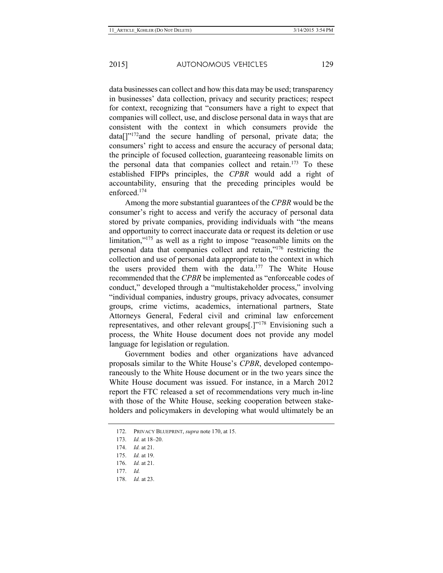data businesses can collect and how this data may be used; transparency in businesses' data collection, privacy and security practices; respect for context, recognizing that "consumers have a right to expect that companies will collect, use, and disclose personal data in ways that are consistent with the context in which consumers provide the  $data[]$ "<sup>172</sup>and the secure handling of personal, private data; the consumers' right to access and ensure the accuracy of personal data; the principle of focused collection, guaranteeing reasonable limits on the personal data that companies collect and retain.<sup>173</sup> To these established FIPPs principles, the *CPBR* would add a right of accountability, ensuring that the preceding principles would be enforced<sup>174</sup>

Among the more substantial guarantees of the *CPBR* would be the consumer's right to access and verify the accuracy of personal data stored by private companies, providing individuals with "the means and opportunity to correct inaccurate data or request its deletion or use limitation,"175 as well as a right to impose "reasonable limits on the personal data that companies collect and retain,"176 restricting the collection and use of personal data appropriate to the context in which the users provided them with the data.<sup>177</sup> The White House recommended that the *CPBR* be implemented as "enforceable codes of conduct," developed through a "multistakeholder process," involving "individual companies, industry groups, privacy advocates, consumer groups, crime victims, academics, international partners, State Attorneys General, Federal civil and criminal law enforcement representatives, and other relevant groups[.]"178 Envisioning such a process, the White House document does not provide any model language for legislation or regulation.

Government bodies and other organizations have advanced proposals similar to the White House's *CPBR*, developed contemporaneously to the White House document or in the two years since the White House document was issued. For instance, in a March 2012 report the FTC released a set of recommendations very much in-line with those of the White House, seeking cooperation between stakeholders and policymakers in developing what would ultimately be an

<sup>172.</sup> PRIVACY BLUEPRINT, *supra* note 170, at 15.

<sup>173.</sup> *Id.* at 18–20.

<sup>174.</sup> *Id.* at 21.

<sup>175.</sup> *Id.* at 19.

<sup>176.</sup> *Id.* at 21.

<sup>177.</sup> *Id.*

<sup>178.</sup> *Id.* at 23.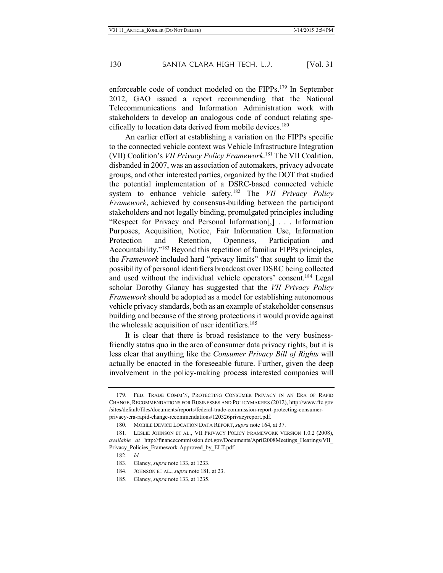enforceable code of conduct modeled on the FIPPs.<sup>179</sup> In September 2012, GAO issued a report recommending that the National Telecommunications and Information Administration work with stakeholders to develop an analogous code of conduct relating specifically to location data derived from mobile devices.180

An earlier effort at establishing a variation on the FIPPs specific to the connected vehicle context was Vehicle Infrastructure Integration (VII) Coalition's *VII Privacy Policy Framework*. <sup>181</sup> The VII Coalition, disbanded in 2007, was an association of automakers, privacy advocate groups, and other interested parties, organized by the DOT that studied the potential implementation of a DSRC-based connected vehicle system to enhance vehicle safety.182 The *VII Privacy Policy Framework*, achieved by consensus-building between the participant stakeholders and not legally binding, promulgated principles including "Respect for Privacy and Personal Information[,] . . . Information Purposes, Acquisition, Notice, Fair Information Use, Information Protection and Retention, Openness, Participation and Accountability."183 Beyond this repetition of familiar FIPPs principles, the *Framework* included hard "privacy limits" that sought to limit the possibility of personal identifiers broadcast over DSRC being collected and used without the individual vehicle operators' consent.<sup>184</sup> Legal scholar Dorothy Glancy has suggested that the *VII Privacy Policy Framework* should be adopted as a model for establishing autonomous vehicle privacy standards, both as an example of stakeholder consensus building and because of the strong protections it would provide against the wholesale acquisition of user identifiers.<sup>185</sup>

It is clear that there is broad resistance to the very businessfriendly status quo in the area of consumer data privacy rights, but it is less clear that anything like the *Consumer Privacy Bill of Rights* will actually be enacted in the foreseeable future. Further, given the deep involvement in the policy-making process interested companies will

<sup>179.</sup> FED. TRADE COMM'N, PROTECTING CONSUMER PRIVACY IN AN ERA OF RAPID CHANGE, RECOMMENDATIONS FOR BUSINESSES AND POLICYMAKERS (2012), http://www.ftc.gov /sites/default/files/documents/reports/federal-trade-commission-report-protecting-consumerprivacy-era-rapid-change-recommendations/120326privacyreport.pdf.

<sup>180.</sup> MOBILE DEVICE LOCATION DATA REPORT, *supra* note 164, at 37.

<sup>181.</sup> LESLIE JOHNSON ET AL., VII PRIVACY POLICY FRAMEWORK VERSION 1.0.2 (2008), *available at* http://financecommission.dot.gov/Documents/April2008Meetings\_Hearings/VII\_ Privacy\_Policies\_Framework-Approved\_by\_ELT.pdf

<sup>182.</sup> *Id.*

<sup>183.</sup> Glancy, *supra* note 133, at 1233.

<sup>184.</sup> JOHNSON ET AL., *supra* note 181, at 23.

<sup>185.</sup> Glancy, *supra* note 133, at 1235.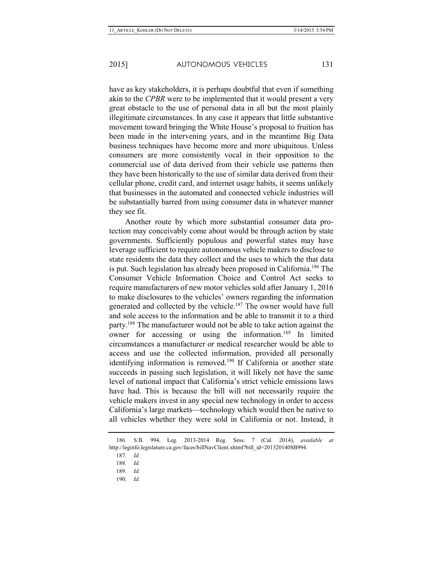have as key stakeholders, it is perhaps doubtful that even if something akin to the *CPBR* were to be implemented that it would present a very great obstacle to the use of personal data in all but the most plainly illegitimate circumstances. In any case it appears that little substantive movement toward bringing the White House's proposal to fruition has been made in the intervening years, and in the meantime Big Data business techniques have become more and more ubiquitous. Unless consumers are more consistently vocal in their opposition to the commercial use of data derived from their vehicle use patterns then they have been historically to the use of similar data derived from their cellular phone, credit card, and internet usage habits, it seems unlikely that businesses in the automated and connected vehicle industries will be substantially barred from using consumer data in whatever manner they see fit.

Another route by which more substantial consumer data protection may conceivably come about would be through action by state governments. Sufficiently populous and powerful states may have leverage sufficient to require autonomous vehicle makers to disclose to state residents the data they collect and the uses to which the that data is put. Such legislation has already been proposed in California.186 The Consumer Vehicle Information Choice and Control Act seeks to require manufacturers of new motor vehicles sold after January 1, 2016 to make disclosures to the vehicles' owners regarding the information generated and collected by the vehicle.<sup>187</sup> The owner would have full and sole access to the information and be able to transmit it to a third party.188 The manufacturer would not be able to take action against the owner for accessing or using the information.<sup>189</sup> In limited circumstances a manufacturer or medical researcher would be able to access and use the collected information, provided all personally identifying information is removed.<sup>190</sup> If California or another state succeeds in passing such legislation, it will likely not have the same level of national impact that California's strict vehicle emissions laws have had. This is because the bill will not necessarily require the vehicle makers invest in any special new technology in order to access California's large markets—technology which would then be native to all vehicles whether they were sold in California or not. Instead, it

190. *Id.*

<sup>186.</sup> S.B. 994, Leg. 2013-2014 Reg. Sess. 7 (Cal. 2014), *available at* http://leginfo.legislature.ca.gov/faces/billNavClient.xhtml?bill\_id=201320140SB994.

<sup>187.</sup> *Id.*

<sup>188.</sup> *Id.*

<sup>189.</sup> *Id.*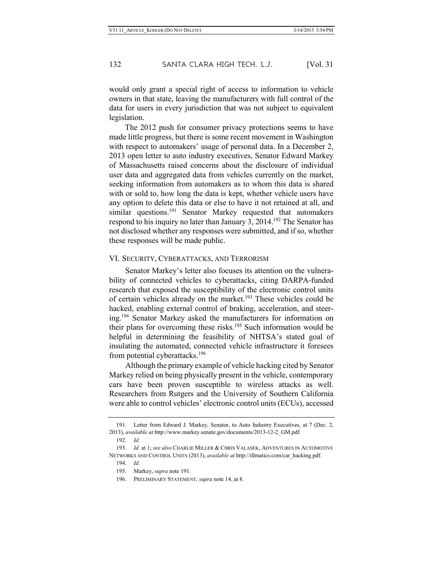would only grant a special right of access to information to vehicle owners in that state, leaving the manufacturers with full control of the data for users in every jurisdiction that was not subject to equivalent legislation.

The 2012 push for consumer privacy protections seems to have made little progress, but there is some recent movement in Washington with respect to automakers' usage of personal data. In a December 2, 2013 open letter to auto industry executives, Senator Edward Markey of Massachusetts raised concerns about the disclosure of individual user data and aggregated data from vehicles currently on the market, seeking information from automakers as to whom this data is shared with or sold to, how long the data is kept, whether vehicle users have any option to delete this data or else to have it not retained at all, and similar questions.<sup>191</sup> Senator Markey requested that automakers respond to his inquiry no later than January 3, 2014.<sup>192</sup> The Senator has not disclosed whether any responses were submitted, and if so, whether these responses will be made public.

#### VI. SECURITY, CYBERATTACKS, AND TERRORISM

Senator Markey's letter also focuses its attention on the vulnerability of connected vehicles to cyberattacks, citing DARPA-funded research that exposed the susceptibility of the electronic control units of certain vehicles already on the market.<sup>193</sup> These vehicles could be hacked, enabling external control of braking, acceleration, and steering.194 Senator Markey asked the manufacturers for information on their plans for overcoming these risks.<sup>195</sup> Such information would be helpful in determining the feasibility of NHTSA's stated goal of insulating the automated, connected vehicle infrastructure it foresees from potential cyberattacks.<sup>196</sup>

Although the primary example of vehicle hacking cited by Senator Markey relied on being physically present in the vehicle, contemporary cars have been proven susceptible to wireless attacks as well. Researchers from Rutgers and the University of Southern California were able to control vehicles' electronic control units (ECUs), accessed

<sup>191.</sup> Letter from Edward J. Markey, Senator, to Auto Industry Executives, at 7 (Dec. 2, 2013), *available at* http://www.markey.senate.gov/documents/2013-12-2\_GM.pdf.

<sup>192.</sup> *Id.*

<sup>193.</sup> *Id.* at 1; *see also* CHARLIE MILLER & CHRIS VALASEK, ADVENTURES IN AUTOMOTIVE NETWORKS AND CONTROL UNITS (2013), *available at* http://illmatics.com/car\_hacking.pdf.

<sup>194.</sup> *Id.*

<sup>195.</sup> Markey, *supra* note 191.

<sup>196.</sup> PRELIMINARY STATEMENT*, supra* note 14, at 8.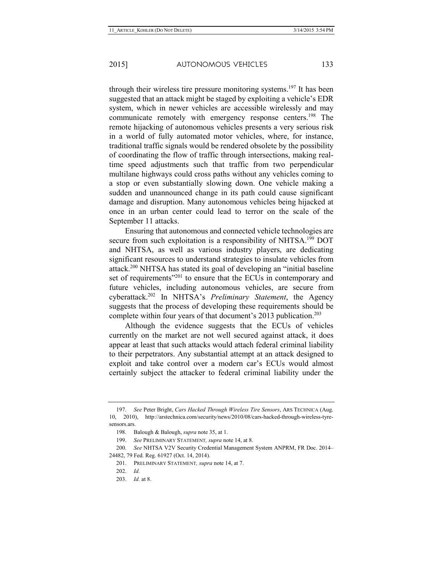through their wireless tire pressure monitoring systems.<sup>197</sup> It has been suggested that an attack might be staged by exploiting a vehicle's EDR system, which in newer vehicles are accessible wirelessly and may communicate remotely with emergency response centers.<sup>198</sup> The remote hijacking of autonomous vehicles presents a very serious risk in a world of fully automated motor vehicles, where, for instance, traditional traffic signals would be rendered obsolete by the possibility of coordinating the flow of traffic through intersections, making realtime speed adjustments such that traffic from two perpendicular multilane highways could cross paths without any vehicles coming to a stop or even substantially slowing down. One vehicle making a sudden and unannounced change in its path could cause significant damage and disruption. Many autonomous vehicles being hijacked at once in an urban center could lead to terror on the scale of the September 11 attacks.

Ensuring that autonomous and connected vehicle technologies are secure from such exploitation is a responsibility of NHTSA.<sup>199</sup> DOT and NHTSA, as well as various industry players, are dedicating significant resources to understand strategies to insulate vehicles from attack.200 NHTSA has stated its goal of developing an "initial baseline set of requirements<sup>"201</sup> to ensure that the ECUs in contemporary and future vehicles, including autonomous vehicles, are secure from cyberattack.202 In NHTSA's *Preliminary Statement*, the Agency suggests that the process of developing these requirements should be complete within four years of that document's 2013 publication.<sup>203</sup>

Although the evidence suggests that the ECUs of vehicles currently on the market are not well secured against attack, it does appear at least that such attacks would attach federal criminal liability to their perpetrators. Any substantial attempt at an attack designed to exploit and take control over a modern car's ECUs would almost certainly subject the attacker to federal criminal liability under the

<sup>197.</sup> *See* Peter Bright, *Cars Hacked Through Wireless Tire Sensors*, ARS TECHNICA (Aug. 10, 2010), http://arstechnica.com/security/news/2010/08/cars-hacked-through-wireless-tyresensors.ars.

<sup>198.</sup> Balough & Balough, *supra* note 35, at 1.

<sup>199.</sup> *See* PRELIMINARY STATEMENT*, supra* note 14, at 8.

<sup>200.</sup> *See* NHTSA V2V Security Credential Management System ANPRM, FR Doc. 2014– 24482, 79 Fed. Reg. 61927 (Oct. 14, 2014).

<sup>201.</sup> PRELIMINARY STATEMENT*, supra* note 14, at 7.

<sup>202.</sup> *Id.*

<sup>203.</sup> *Id.* at 8.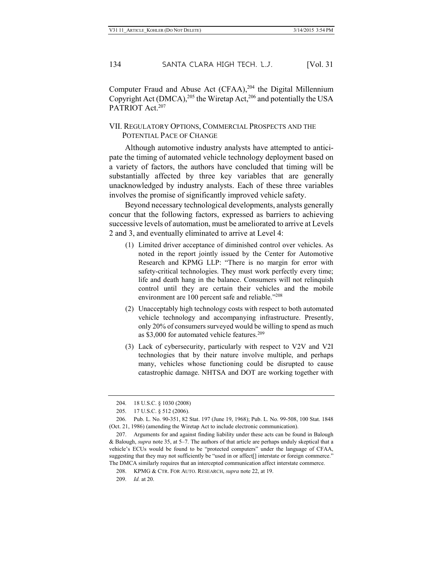Computer Fraud and Abuse Act (CFAA),<sup>204</sup> the Digital Millennium Copyright Act (DMCA),  $^{205}$  the Wiretap Act,  $^{206}$  and potentially the USA PATRIOT Act.<sup>207</sup>

VII. REGULATORY OPTIONS, COMMERCIAL PROSPECTS AND THE POTENTIAL PACE OF CHANGE

Although automotive industry analysts have attempted to anticipate the timing of automated vehicle technology deployment based on a variety of factors, the authors have concluded that timing will be substantially affected by three key variables that are generally unacknowledged by industry analysts. Each of these three variables involves the promise of significantly improved vehicle safety.

Beyond necessary technological developments, analysts generally concur that the following factors, expressed as barriers to achieving successive levels of automation, must be ameliorated to arrive at Levels 2 and 3, and eventually eliminated to arrive at Level 4:

- (1) Limited driver acceptance of diminished control over vehicles. As noted in the report jointly issued by the Center for Automotive Research and KPMG LLP: "There is no margin for error with safety-critical technologies. They must work perfectly every time; life and death hang in the balance. Consumers will not relinquish control until they are certain their vehicles and the mobile environment are 100 percent safe and reliable."<sup>208</sup>
- (2) Unacceptably high technology costs with respect to both automated vehicle technology and accompanying infrastructure. Presently, only 20% of consumers surveyed would be willing to spend as much as \$3,000 for automated vehicle features.<sup>209</sup>
- (3) Lack of cybersecurity, particularly with respect to V2V and V2I technologies that by their nature involve multiple, and perhaps many, vehicles whose functioning could be disrupted to cause catastrophic damage. NHTSA and DOT are working together with

<sup>204.</sup> 18 U.S.C. § 1030 (2008)

<sup>205.</sup> 17 U.S.C. § 512 (2006).

<sup>206.</sup> Pub. L. No. 90-351, 82 Stat. 197 (June 19, 1968); Pub. L. No. 99-508, 100 Stat. 1848 (Oct. 21, 1986) (amending the Wiretap Act to include electronic communication).

<sup>207.</sup> Arguments for and against finding liability under these acts can be found in Balough & Balough, *supra* note 35, at 5–7. The authors of that article are perhaps unduly skeptical that a vehicle's ECUs would be found to be "protected computers" under the language of CFAA, suggesting that they may not sufficiently be "used in or affect[] interstate or foreign commerce." The DMCA similarly requires that an intercepted communication affect interstate commerce.

<sup>208.</sup> KPMG & CTR. FOR AUTO. RESEARCH, *supra* note 22, at 19.

<sup>209.</sup> *Id.* at 20.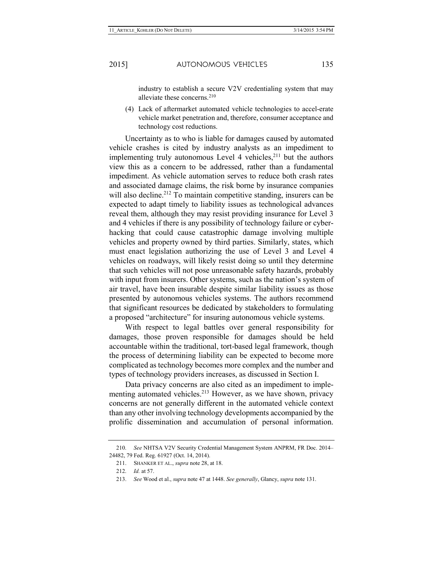industry to establish a secure V2V credentialing system that may alleviate these concerns.<sup>210</sup>

(4) Lack of aftermarket automated vehicle technologies to accel-erate vehicle market penetration and, therefore, consumer acceptance and technology cost reductions.

Uncertainty as to who is liable for damages caused by automated vehicle crashes is cited by industry analysts as an impediment to implementing truly autonomous Level 4 vehicles, $2^{11}$  but the authors view this as a concern to be addressed, rather than a fundamental impediment. As vehicle automation serves to reduce both crash rates and associated damage claims, the risk borne by insurance companies will also decline.<sup>212</sup> To maintain competitive standing, insurers can be expected to adapt timely to liability issues as technological advances reveal them, although they may resist providing insurance for Level 3 and 4 vehicles if there is any possibility of technology failure or cyberhacking that could cause catastrophic damage involving multiple vehicles and property owned by third parties. Similarly, states, which must enact legislation authorizing the use of Level 3 and Level 4 vehicles on roadways, will likely resist doing so until they determine that such vehicles will not pose unreasonable safety hazards, probably with input from insurers. Other systems, such as the nation's system of air travel, have been insurable despite similar liability issues as those presented by autonomous vehicles systems. The authors recommend that significant resources be dedicated by stakeholders to formulating a proposed "architecture" for insuring autonomous vehicle systems.

With respect to legal battles over general responsibility for damages, those proven responsible for damages should be held accountable within the traditional, tort-based legal framework, though the process of determining liability can be expected to become more complicated as technology becomes more complex and the number and types of technology providers increases, as discussed in Section I.

Data privacy concerns are also cited as an impediment to implementing automated vehicles.<sup>213</sup> However, as we have shown, privacy concerns are not generally different in the automated vehicle context than any other involving technology developments accompanied by the prolific dissemination and accumulation of personal information.

<sup>210.</sup> *See* NHTSA V2V Security Credential Management System ANPRM, FR Doc. 2014– 24482, 79 Fed. Reg. 61927 (Oct. 14, 2014).

<sup>211.</sup> SHANKER ET AL., *supra* note 28, at 18.

<sup>212.</sup> *Id.* at 57.

<sup>213.</sup> *See* Wood et al., *supra* note 47 at 1448. *See generally*, Glancy, *supra* note 131.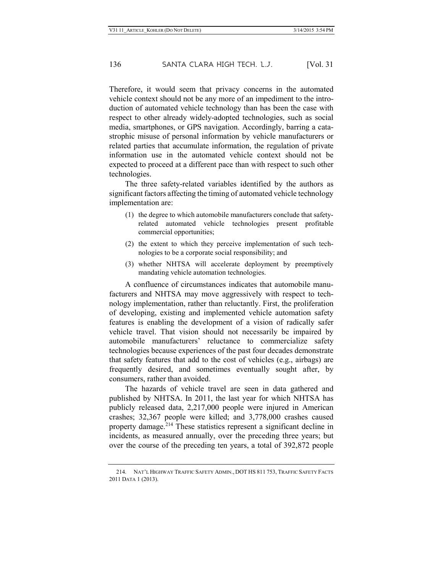Therefore, it would seem that privacy concerns in the automated vehicle context should not be any more of an impediment to the introduction of automated vehicle technology than has been the case with respect to other already widely-adopted technologies, such as social media, smartphones, or GPS navigation. Accordingly, barring a catastrophic misuse of personal information by vehicle manufacturers or related parties that accumulate information, the regulation of private information use in the automated vehicle context should not be expected to proceed at a different pace than with respect to such other technologies.

The three safety-related variables identified by the authors as significant factors affecting the timing of automated vehicle technology implementation are:

- (1) the degree to which automobile manufacturers conclude that safetyrelated automated vehicle technologies present profitable commercial opportunities;
- (2) the extent to which they perceive implementation of such technologies to be a corporate social responsibility; and
- (3) whether NHTSA will accelerate deployment by preemptively mandating vehicle automation technologies.

A confluence of circumstances indicates that automobile manufacturers and NHTSA may move aggressively with respect to technology implementation, rather than reluctantly. First, the proliferation of developing, existing and implemented vehicle automation safety features is enabling the development of a vision of radically safer vehicle travel. That vision should not necessarily be impaired by automobile manufacturers' reluctance to commercialize safety technologies because experiences of the past four decades demonstrate that safety features that add to the cost of vehicles (e.g., airbags) are frequently desired, and sometimes eventually sought after, by consumers, rather than avoided.

The hazards of vehicle travel are seen in data gathered and published by NHTSA. In 2011, the last year for which NHTSA has publicly released data, 2,217,000 people were injured in American crashes; 32,367 people were killed; and 3,778,000 crashes caused property damage.<sup>214</sup> These statistics represent a significant decline in incidents, as measured annually, over the preceding three years; but over the course of the preceding ten years, a total of 392,872 people

<sup>214.</sup> NAT'L HIGHWAY TRAFFIC SAFETY ADMIN., DOT HS 811 753, TRAFFIC SAFETY FACTS 2011 DATA 1 (2013).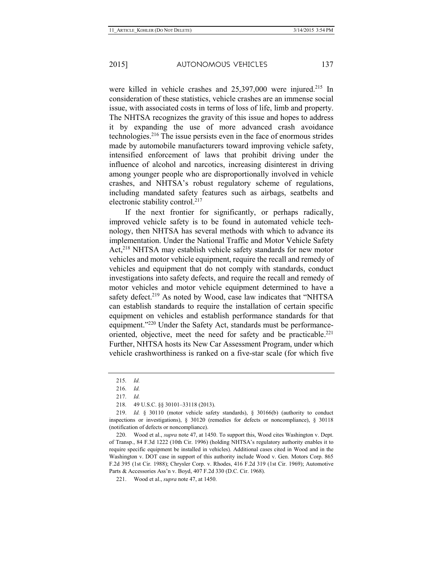were killed in vehicle crashes and 25,397,000 were injured.<sup>215</sup> In consideration of these statistics, vehicle crashes are an immense social issue, with associated costs in terms of loss of life, limb and property. The NHTSA recognizes the gravity of this issue and hopes to address it by expanding the use of more advanced crash avoidance technologies.216 The issue persists even in the face of enormous strides made by automobile manufacturers toward improving vehicle safety, intensified enforcement of laws that prohibit driving under the influence of alcohol and narcotics, increasing disinterest in driving among younger people who are disproportionally involved in vehicle crashes, and NHTSA's robust regulatory scheme of regulations, including mandated safety features such as airbags, seatbelts and electronic stability control.<sup>217</sup>

If the next frontier for significantly, or perhaps radically, improved vehicle safety is to be found in automated vehicle technology, then NHTSA has several methods with which to advance its implementation. Under the National Traffic and Motor Vehicle Safety Act,<sup>218</sup> NHTSA may establish vehicle safety standards for new motor vehicles and motor vehicle equipment, require the recall and remedy of vehicles and equipment that do not comply with standards, conduct investigations into safety defects, and require the recall and remedy of motor vehicles and motor vehicle equipment determined to have a safety defect.<sup>219</sup> As noted by Wood, case law indicates that "NHTSA" can establish standards to require the installation of certain specific equipment on vehicles and establish performance standards for that equipment."220 Under the Safety Act, standards must be performanceoriented, objective, meet the need for safety and be practicable. $221$ Further, NHTSA hosts its New Car Assessment Program, under which vehicle crashworthiness is ranked on a five-star scale (for which five

<sup>215.</sup> *Id.*

<sup>216.</sup> *Id.*

<sup>217.</sup> *Id.*

<sup>218.</sup> 49 U.S.C. §§ 30101–33118 (2013).

<sup>219.</sup> *Id.* § 30110 (motor vehicle safety standards), § 30166(b) (authority to conduct inspections or investigations), § 30120 (remedies for defects or noncompliance), § 30118 (notification of defects or noncompliance).

<sup>220.</sup> Wood et al., *supra* note 47, at 1450. To support this, Wood cites Washington v. Dept. of Transp., 84 F.3d 1222 (10th Cir. 1996) (holding NHTSA's regulatory authority enables it to require specific equipment be installed in vehicles). Additional cases cited in Wood and in the Washington v. DOT case in support of this authority include Wood v. Gen. Motors Corp. 865 F.2d 395 (1st Cir. 1988); Chrysler Corp. v. Rhodes, 416 F.2d 319 (1st Cir. 1969); Automotive Parts & Accessories Ass'n v. Boyd, 407 F.2d 330 (D.C. Cir. 1968).

<sup>221.</sup> Wood et al., *supra* note 47, at 1450.